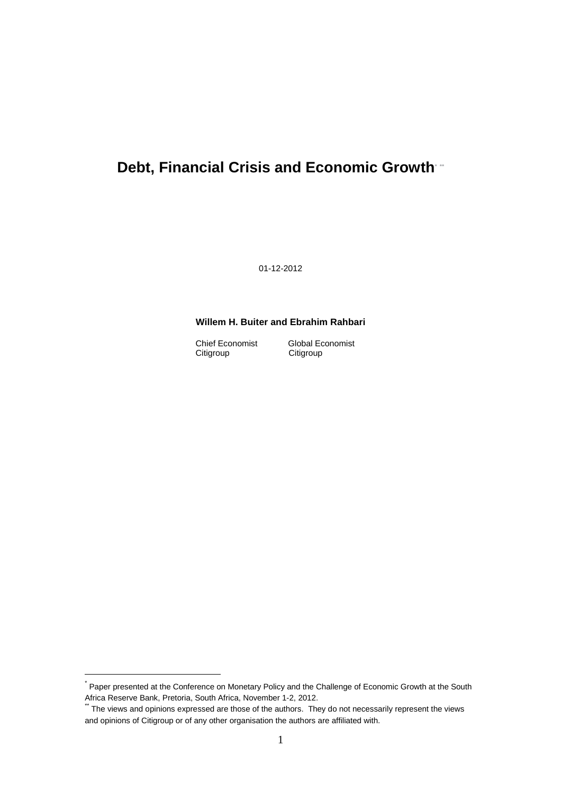# **Debt, Financial Crisis and Economic Growth\* \*\***

01-12-2012

# **Willem H. Buiter and Ebrahim Rahbari**

Citigroup

Chief Economist<br>Citigroup Citigroup<br>Citigroup

 $\overline{a}$ 

<sup>\*</sup> Paper presented at the Conference on Monetary Policy and the Challenge of Economic Growth at the South Africa Reserve Bank, Pretoria, South Africa, November 1-2, 2012.

The views and opinions expressed are those of the authors. They do not necessarily represent the views and opinions of Citigroup or of any other organisation the authors are affiliated with.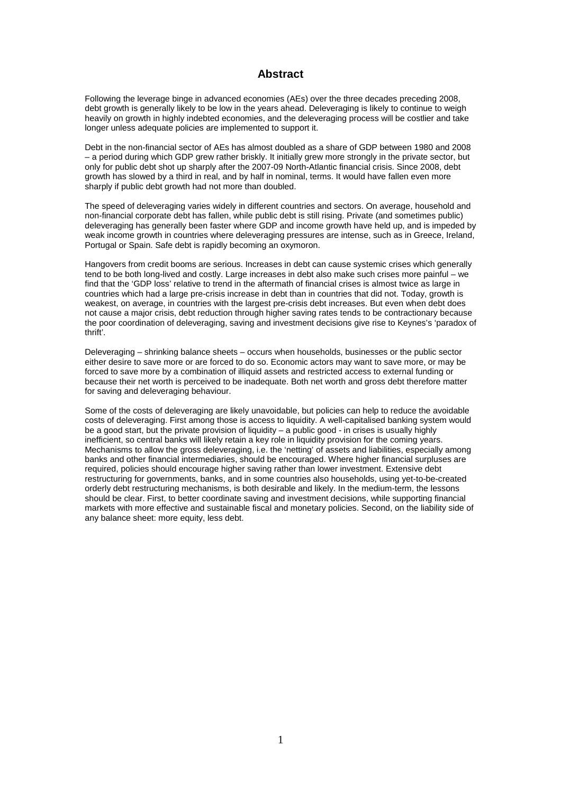# **Abstract**

Following the leverage binge in advanced economies (AEs) over the three decades preceding 2008, debt growth is generally likely to be low in the years ahead. Deleveraging is likely to continue to weigh heavily on growth in highly indebted economies, and the deleveraging process will be costlier and take longer unless adequate policies are implemented to support it.

Debt in the non-financial sector of AEs has almost doubled as a share of GDP between 1980 and 2008 – a period during which GDP grew rather briskly. It initially grew more strongly in the private sector, but only for public debt shot up sharply after the 2007-09 North-Atlantic financial crisis. Since 2008, debt growth has slowed by a third in real, and by half in nominal, terms. It would have fallen even more sharply if public debt growth had not more than doubled.

The speed of deleveraging varies widely in different countries and sectors. On average, household and non-financial corporate debt has fallen, while public debt is still rising. Private (and sometimes public) deleveraging has generally been faster where GDP and income growth have held up, and is impeded by weak income growth in countries where deleveraging pressures are intense, such as in Greece, Ireland, Portugal or Spain. Safe debt is rapidly becoming an oxymoron.

Hangovers from credit booms are serious. Increases in debt can cause systemic crises which generally tend to be both long-lived and costly. Large increases in debt also make such crises more painful – we find that the 'GDP loss' relative to trend in the aftermath of financial crises is almost twice as large in countries which had a large pre-crisis increase in debt than in countries that did not. Today, growth is weakest, on average, in countries with the largest pre-crisis debt increases. But even when debt does not cause a major crisis, debt reduction through higher saving rates tends to be contractionary because the poor coordination of deleveraging, saving and investment decisions give rise to Keynes's 'paradox of thrift'.

Deleveraging – shrinking balance sheets – occurs when households, businesses or the public sector either desire to save more or are forced to do so. Economic actors may want to save more, or may be forced to save more by a combination of illiquid assets and restricted access to external funding or because their net worth is perceived to be inadequate. Both net worth and gross debt therefore matter for saving and deleveraging behaviour.

Some of the costs of deleveraging are likely unavoidable, but policies can help to reduce the avoidable costs of deleveraging. First among those is access to liquidity. A well-capitalised banking system would be a good start, but the private provision of liquidity – a public good - in crises is usually highly inefficient, so central banks will likely retain a key role in liquidity provision for the coming years. Mechanisms to allow the gross deleveraging, i.e. the 'netting' of assets and liabilities, especially among banks and other financial intermediaries, should be encouraged. Where higher financial surpluses are required, policies should encourage higher saving rather than lower investment. Extensive debt restructuring for governments, banks, and in some countries also households, using yet-to-be-created orderly debt restructuring mechanisms, is both desirable and likely. In the medium-term, the lessons should be clear. First, to better coordinate saving and investment decisions, while supporting financial markets with more effective and sustainable fiscal and monetary policies. Second, on the liability side of any balance sheet: more equity, less debt.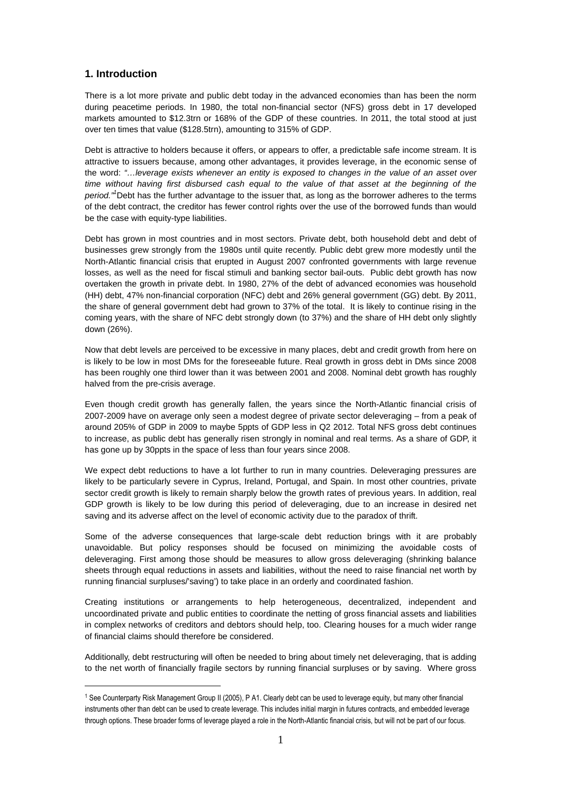# **1. Introduction**

 $\overline{a}$ 

There is a lot more private and public debt today in the advanced economies than has been the norm during peacetime periods. In 1980, the total non-financial sector (NFS) gross debt in 17 developed markets amounted to \$12.3trn or 168% of the GDP of these countries. In 2011, the total stood at just over ten times that value (\$128.5trn), amounting to 315% of GDP.

Debt is attractive to holders because it offers, or appears to offer, a predictable safe income stream. It is attractive to issuers because, among other advantages, it provides leverage, in the economic sense of the word: "…leverage exists whenever an entity is exposed to changes in the value of an asset over time without having first disbursed cash equal to the value of that asset at the beginning of the period."<sup>1</sup>Debt has the further advantage to the issuer that, as long as the borrower adheres to the terms of the debt contract, the creditor has fewer control rights over the use of the borrowed funds than would be the case with equity-type liabilities.

Debt has grown in most countries and in most sectors. Private debt, both household debt and debt of businesses grew strongly from the 1980s until quite recently. Public debt grew more modestly until the North-Atlantic financial crisis that erupted in August 2007 confronted governments with large revenue losses, as well as the need for fiscal stimuli and banking sector bail-outs. Public debt growth has now overtaken the growth in private debt. In 1980, 27% of the debt of advanced economies was household (HH) debt, 47% non-financial corporation (NFC) debt and 26% general government (GG) debt. By 2011, the share of general government debt had grown to 37% of the total. It is likely to continue rising in the coming years, with the share of NFC debt strongly down (to 37%) and the share of HH debt only slightly down (26%).

Now that debt levels are perceived to be excessive in many places, debt and credit growth from here on is likely to be low in most DMs for the foreseeable future. Real growth in gross debt in DMs since 2008 has been roughly one third lower than it was between 2001 and 2008. Nominal debt growth has roughly halved from the pre-crisis average.

Even though credit growth has generally fallen, the years since the North-Atlantic financial crisis of 2007-2009 have on average only seen a modest degree of private sector deleveraging – from a peak of around 205% of GDP in 2009 to maybe 5ppts of GDP less in Q2 2012. Total NFS gross debt continues to increase, as public debt has generally risen strongly in nominal and real terms. As a share of GDP, it has gone up by 30ppts in the space of less than four years since 2008.

We expect debt reductions to have a lot further to run in many countries. Deleveraging pressures are likely to be particularly severe in Cyprus, Ireland, Portugal, and Spain. In most other countries, private sector credit growth is likely to remain sharply below the growth rates of previous years. In addition, real GDP growth is likely to be low during this period of deleveraging, due to an increase in desired net saving and its adverse affect on the level of economic activity due to the paradox of thrift.

Some of the adverse consequences that large-scale debt reduction brings with it are probably unavoidable. But policy responses should be focused on minimizing the avoidable costs of deleveraging. First among those should be measures to allow gross deleveraging (shrinking balance sheets through equal reductions in assets and liabilities, without the need to raise financial net worth by running financial surpluses/'saving') to take place in an orderly and coordinated fashion.

Creating institutions or arrangements to help heterogeneous, decentralized, independent and uncoordinated private and public entities to coordinate the netting of gross financial assets and liabilities in complex networks of creditors and debtors should help, too. Clearing houses for a much wider range of financial claims should therefore be considered.

Additionally, debt restructuring will often be needed to bring about timely net deleveraging, that is adding to the net worth of financially fragile sectors by running financial surpluses or by saving. Where gross

<sup>1</sup> See Counterparty Risk Management Group II (2005), P A1. Clearly debt can be used to leverage equity, but many other financial instruments other than debt can be used to create leverage. This includes initial margin in futures contracts, and embedded leverage through options. These broader forms of leverage played a role in the North-Atlantic financial crisis, but will not be part of our focus.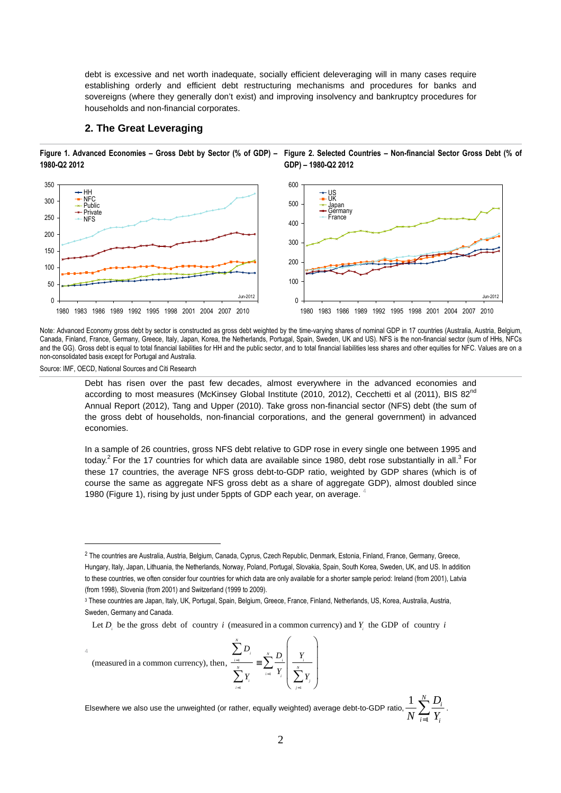debt is excessive and net worth inadequate, socially efficient deleveraging will in many cases require establishing orderly and efficient debt restructuring mechanisms and procedures for banks and sovereigns (where they generally don't exist) and improving insolvency and bankruptcy procedures for households and non-financial corporates.

#### **2. The Great Leveraging**

**Figure 1. Advanced Economies – Gross Debt by Sector (% of GDP) – Figure 2. Selected Countries – Non-financial Sector Gross Debt (% of 1980-Q2 2012 GDP) – 1980-Q2 2012** 



Note: Advanced Economy gross debt by sector is constructed as gross debt weighted by the time-varying shares of nominal GDP in 17 countries (Australia, Austria, Belgium, Canada, Finland, France, Germany, Greece, Italy, Japan, Korea, the Netherlands, Portugal, Spain, Sweden, UK and US). NFS is the non-financial sector (sum of HHs, NFCs and the GG). Gross debt is equal to total financial liabilities for HH and the public sector, and to total financial liabilities less shares and other equities for NFC. Values are on a non-consolidated basis except for Portugal and Australia.

Source: IMF, OECD, National Sources and Citi Research

 $\overline{a}$ 

4

Debt has risen over the past few decades, almost everywhere in the advanced economies and according to most measures (McKinsey Global Institute (2010, 2012), Cecchetti et al (2011), BIS 82<sup>nd</sup> Annual Report (2012), Tang and Upper (2010). Take gross non-financial sector (NFS) debt (the sum of the gross debt of households, non-financial corporations, and the general government) in advanced economies.

In a sample of 26 countries, gross NFS debt relative to GDP rose in every single one between 1995 and today.<sup>2</sup> For the 17 countries for which data are available since 1980, debt rose substantially in all.<sup>3</sup> For these 17 countries, the average NFS gross debt-to-GDP ratio, weighted by GDP shares (which is of course the same as aggregate NFS gross debt as a share of aggregate GDP), almost doubled since 1980 (Figure 1), rising by just under 5ppts of GDP each year, on average. <sup>4</sup>

Let  $D_i$  be the gross debt of country *i* (measured in a common currency) and  $Y_i$  the GDP of country *i* 

1

=

*N*

 $\sum$ 

(measured in a common currency), then,

Elsewhere we also use the unweighted (or rather, equally weighted) average debt-to-GDP ratio, 1  $1 \sum_{i=1}^{N} D_i$  $i=1$  *l*<sub>*i*</sub> *D*  $N \stackrel{\sim}{\leftarrow} Y$  $\sum_{i=1}^{n} \frac{D_i}{V}$ .

1 1  $i=1$ 

=  $=$ 1  $i=$ 

≡

 $Y_i$  *I*  $Y_i$   $\sum Y_i$ 

 $\sum_{i=1}^N$  *i*  $\sum_{i=1}^N D_i$  *Y*<sub>i</sub>  $\sum_{i=1}^{N} Y_i$   $\sum_{i=1}^{N} Y_i$   $\sum_{i=1}^{N} Y_i$ *i*=1  $\qquad \qquad$  *j* 

 $\sum$  $\sum Y_i$   $\left| \sum_{i=1}^{n} Y_i \right| \sum_{i=1}^{n}$ 

 $\begin{array}{ccc} D_i & \times & D_i \end{array}$  *Y* 

 $\begin{pmatrix} 0 \\ 0 \\ 0 \end{pmatrix}$  $\frac{1}{N}$  $\left(\sum_{j=1}^N Y_j\right)$ 

<sup>2</sup> The countries are Australia, Austria, Belgium, Canada, Cyprus, Czech Republic, Denmark, Estonia, Finland, France, Germany, Greece, Hungary, Italy, Japan, Lithuania, the Netherlands, Norway, Poland, Portugal, Slovakia, Spain, South Korea, Sweden, UK, and US. In addition to these countries, we often consider four countries for which data are only available for a shorter sample period: Ireland (from 2001), Latvia (from 1998), Slovenia (from 2001) and Switzerland (1999 to 2009).

<sup>3</sup> These countries are Japan, Italy, UK, Portugal, Spain, Belgium, Greece, France, Finland, Netherlands, US, Korea, Australia, Austria, Sweden, Germany and Canada.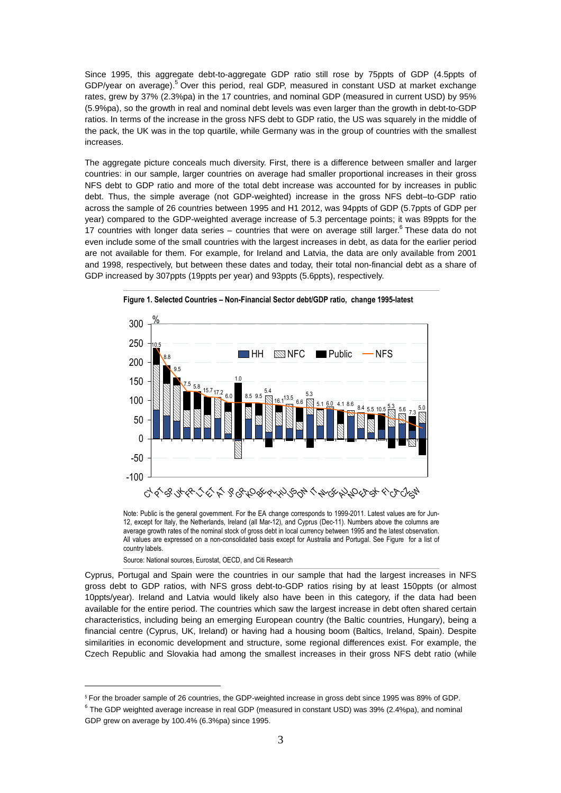Since 1995, this aggregate debt-to-aggregate GDP ratio still rose by 75ppts of GDP (4.5ppts of GDP/year on average).<sup>5</sup> Over this period, real GDP, measured in constant USD at market exchange rates, grew by 37% (2.3%pa) in the 17 countries, and nominal GDP (measured in current USD) by 95% (5.9%pa), so the growth in real and nominal debt levels was even larger than the growth in debt-to-GDP ratios. In terms of the increase in the gross NFS debt to GDP ratio, the US was squarely in the middle of the pack, the UK was in the top quartile, while Germany was in the group of countries with the smallest increases.

The aggregate picture conceals much diversity. First, there is a difference between smaller and larger countries: in our sample, larger countries on average had smaller proportional increases in their gross NFS debt to GDP ratio and more of the total debt increase was accounted for by increases in public debt. Thus, the simple average (not GDP-weighted) increase in the gross NFS debt–to-GDP ratio across the sample of 26 countries between 1995 and H1 2012, was 94ppts of GDP (5.7ppts of GDP per year) compared to the GDP-weighted average increase of 5.3 percentage points; it was 89ppts for the 17 countries with longer data series – countries that were on average still larger.<sup>6</sup> These data do not even include some of the small countries with the largest increases in debt, as data for the earlier period are not available for them. For example, for Ireland and Latvia, the data are only available from 2001 and 1998, respectively, but between these dates and today, their total non-financial debt as a share of GDP increased by 307ppts (19ppts per year) and 93ppts (5.6ppts), respectively.





Note: Public is the general government. For the EA change corresponds to 1999-2011. Latest values are for Jun-12, except for Italy, the Netherlands, Ireland (all Mar-12), and Cyprus (Dec-11). Numbers above the columns are average growth rates of the nominal stock of gross debt in local currency between 1995 and the latest observation. All values are expressed on a non-consolidated basis except for Australia and Portugal. See Figure for a list of country labels.

Source: National sources, Eurostat, OECD, and Citi Research

 $\overline{a}$ 

Cyprus, Portugal and Spain were the countries in our sample that had the largest increases in NFS gross debt to GDP ratios, with NFS gross debt-to-GDP ratios rising by at least 150ppts (or almost 10ppts/year). Ireland and Latvia would likely also have been in this category, if the data had been available for the entire period. The countries which saw the largest increase in debt often shared certain characteristics, including being an emerging European country (the Baltic countries, Hungary), being a financial centre (Cyprus, UK, Ireland) or having had a housing boom (Baltics, Ireland, Spain). Despite similarities in economic development and structure, some regional differences exist. For example, the Czech Republic and Slovakia had among the smallest increases in their gross NFS debt ratio (while

<sup>5</sup> For the broader sample of 26 countries, the GDP-weighted increase in gross debt since 1995 was 89% of GDP.

 $^6$  The GDP weighted average increase in real GDP (measured in constant USD) was 39% (2.4%pa), and nominal GDP grew on average by 100.4% (6.3%pa) since 1995.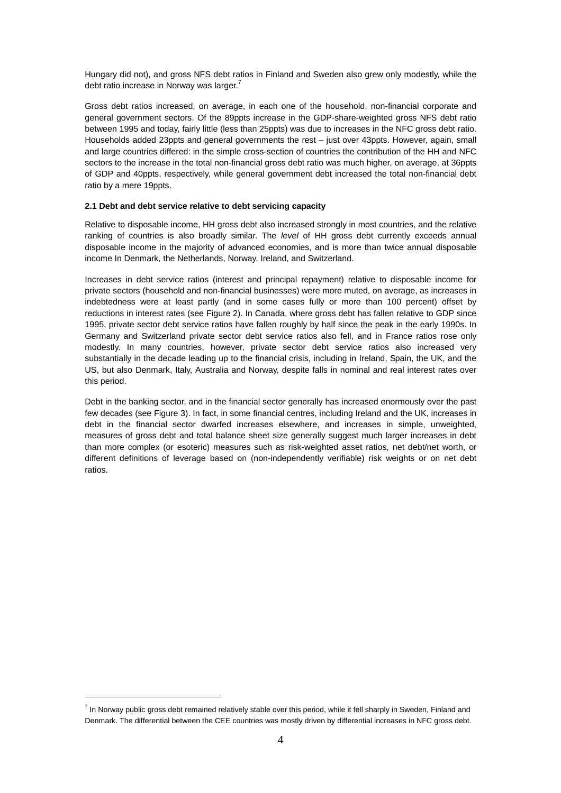Hungary did not), and gross NFS debt ratios in Finland and Sweden also grew only modestly, while the debt ratio increase in Norway was larger. $<sup>7</sup>$ </sup>

Gross debt ratios increased, on average, in each one of the household, non-financial corporate and general government sectors. Of the 89ppts increase in the GDP-share-weighted gross NFS debt ratio between 1995 and today, fairly little (less than 25ppts) was due to increases in the NFC gross debt ratio. Households added 23ppts and general governments the rest – just over 43ppts. However, again, small and large countries differed: in the simple cross-section of countries the contribution of the HH and NFC sectors to the increase in the total non-financial gross debt ratio was much higher, on average, at 36ppts of GDP and 40ppts, respectively, while general government debt increased the total non-financial debt ratio by a mere 19ppts.

#### **2.1 Debt and debt service relative to debt servicing capacity**

Relative to disposable income, HH gross debt also increased strongly in most countries, and the relative ranking of countries is also broadly similar. The level of HH gross debt currently exceeds annual disposable income in the majority of advanced economies, and is more than twice annual disposable income In Denmark, the Netherlands, Norway, Ireland, and Switzerland.

Increases in debt service ratios (interest and principal repayment) relative to disposable income for private sectors (household and non-financial businesses) were more muted, on average, as increases in indebtedness were at least partly (and in some cases fully or more than 100 percent) offset by reductions in interest rates (see Figure 2). In Canada, where gross debt has fallen relative to GDP since 1995, private sector debt service ratios have fallen roughly by half since the peak in the early 1990s. In Germany and Switzerland private sector debt service ratios also fell, and in France ratios rose only modestly. In many countries, however, private sector debt service ratios also increased very substantially in the decade leading up to the financial crisis, including in Ireland, Spain, the UK, and the US, but also Denmark, Italy, Australia and Norway, despite falls in nominal and real interest rates over this period.

Debt in the banking sector, and in the financial sector generally has increased enormously over the past few decades (see Figure 3). In fact, in some financial centres, including Ireland and the UK, increases in debt in the financial sector dwarfed increases elsewhere, and increases in simple, unweighted, measures of gross debt and total balance sheet size generally suggest much larger increases in debt than more complex (or esoteric) measures such as risk-weighted asset ratios, net debt/net worth, or different definitions of leverage based on (non-independently verifiable) risk weights or on net debt ratios.

 $\overline{a}$ 

<sup>&</sup>lt;sup>7</sup> In Norway public gross debt remained relatively stable over this period, while it fell sharply in Sweden, Finland and Denmark. The differential between the CEE countries was mostly driven by differential increases in NFC gross debt.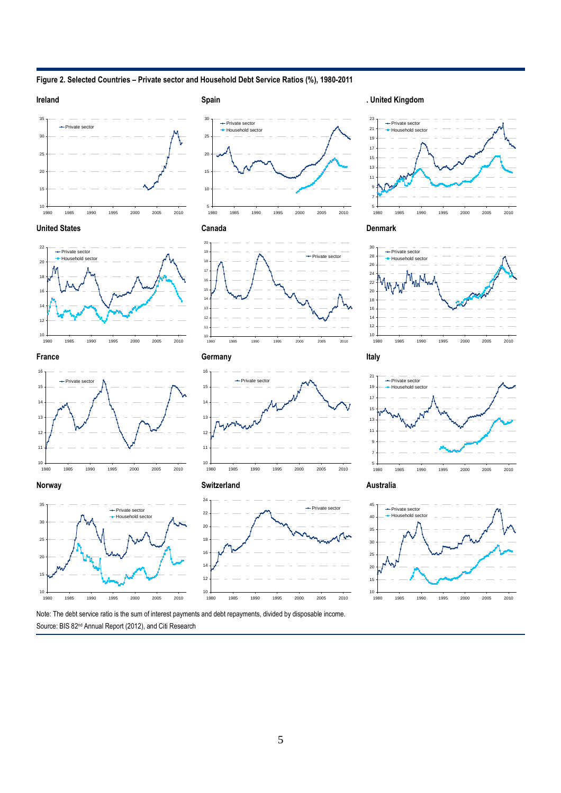**Figure 2. Selected Countries – Private sector and Household Debt Service Ratios (%), 1980-2011** 













































Note: The debt service ratio is the sum of interest payments and debt repayments, divided by disposable income. Source: BIS 82<sup>nd</sup> Annual Report (2012), and Citi Research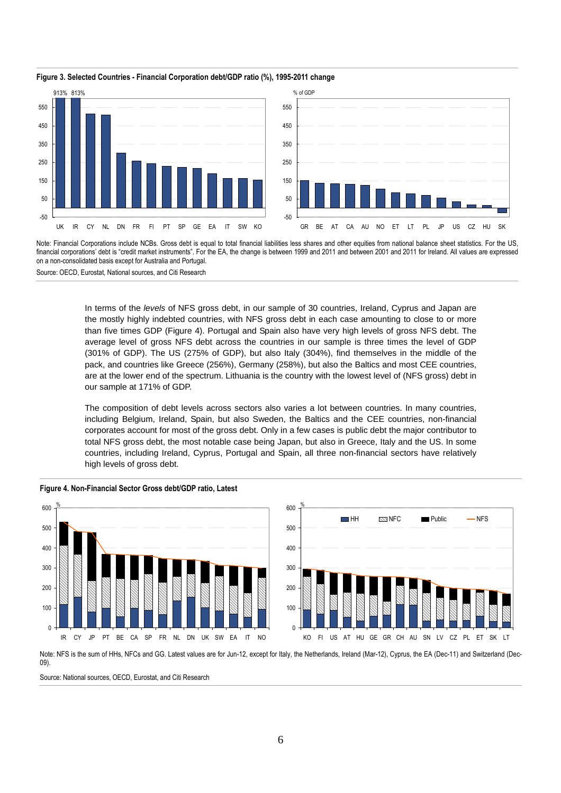

#### **Figure 3. Selected Countries - Financial Corporation debt/GDP ratio (%), 1995-2011 change**

Note: Financial Corporations include NCBs. Gross debt is equal to total financial liabilities less shares and other equities from national balance sheet statistics. For the US, financial corporations' debt is "credit market instruments". For the EA, the change is between 1999 and 2011 and between 2001 and 2011 for Ireland. All values are expressed on a non-consolidated basis except for Australia and Portugal.

Source: OECD, Eurostat, National sources, and Citi Research

In terms of the levels of NFS gross debt, in our sample of 30 countries, Ireland, Cyprus and Japan are the mostly highly indebted countries, with NFS gross debt in each case amounting to close to or more than five times GDP (Figure 4). Portugal and Spain also have very high levels of gross NFS debt. The average level of gross NFS debt across the countries in our sample is three times the level of GDP (301% of GDP). The US (275% of GDP), but also Italy (304%), find themselves in the middle of the pack, and countries like Greece (256%), Germany (258%), but also the Baltics and most CEE countries, are at the lower end of the spectrum. Lithuania is the country with the lowest level of (NFS gross) debt in our sample at 171% of GDP.

The composition of debt levels across sectors also varies a lot between countries. In many countries, including Belgium, Ireland, Spain, but also Sweden, the Baltics and the CEE countries, non-financial corporates account for most of the gross debt. Only in a few cases is public debt the major contributor to total NFS gross debt, the most notable case being Japan, but also in Greece, Italy and the US. In some countries, including Ireland, Cyprus, Portugal and Spain, all three non-financial sectors have relatively high levels of gross debt.





Note: NFS is the sum of HHs, NFCs and GG. Latest values are for Jun-12, except for Italy, the Netherlands, Ireland (Mar-12), Cyprus, the EA (Dec-11) and Switzerland (Dec-09).

Source: National sources, OECD, Eurostat, and Citi Research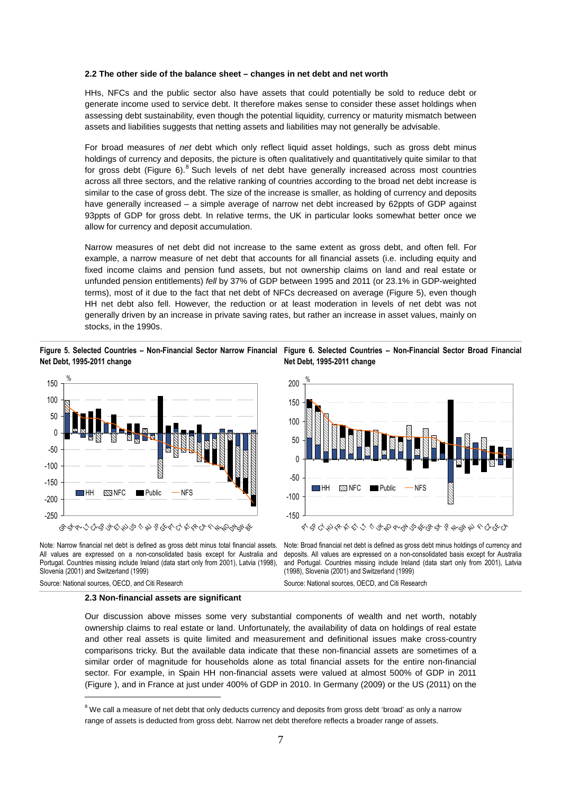#### **2.2 The other side of the balance sheet – changes in net debt and net worth**

HHs, NFCs and the public sector also have assets that could potentially be sold to reduce debt or generate income used to service debt. It therefore makes sense to consider these asset holdings when assessing debt sustainability, even though the potential liquidity, currency or maturity mismatch between assets and liabilities suggests that netting assets and liabilities may not generally be advisable.

For broad measures of net debt which only reflect liquid asset holdings, such as gross debt minus holdings of currency and deposits, the picture is often qualitatively and quantitatively quite similar to that for gross debt (Figure 6).<sup>8</sup> Such levels of net debt have generally increased across most countries across all three sectors, and the relative ranking of countries according to the broad net debt increase is similar to the case of gross debt. The size of the increase is smaller, as holding of currency and deposits have generally increased – a simple average of narrow net debt increased by 62ppts of GDP against 93ppts of GDP for gross debt. In relative terms, the UK in particular looks somewhat better once we allow for currency and deposit accumulation.

Narrow measures of net debt did not increase to the same extent as gross debt, and often fell. For example, a narrow measure of net debt that accounts for all financial assets (i.e. including equity and fixed income claims and pension fund assets, but not ownership claims on land and real estate or unfunded pension entitlements) fell by 37% of GDP between 1995 and 2011 (or 23.1% in GDP-weighted terms), most of it due to the fact that net debt of NFCs decreased on average (Figure 5), even though HH net debt also fell. However, the reduction or at least moderation in levels of net debt was not generally driven by an increase in private saving rates, but rather an increase in asset values, mainly on stocks, in the 1990s.

**Figure 5. Selected Countries – Non-Financial Sector Narrow Financial Figure 6. Selected Countries – Non-Financial Sector Broad Financial Net Debt, 1995-2011 change** 



Note: Narrow financial net debt is defined as gross debt minus total financial assets. All values are expressed on a non-consolidated basis except for Australia and Portugal. Countries missing include Ireland (data start only from 2001), Latvia (1998), Slovenia (2001) and Switzerland (1999)

**Net Debt, 1995-2011 change** 



むやつふ ポート やややしやしゃしゃ いやややややかん

Note: Broad financial net debt is defined as gross debt minus holdings of currency and deposits. All values are expressed on a non-consolidated basis except for Australia and Portugal. Countries missing include Ireland (data start only from 2001), Latvia (1998), Slovenia (2001) and Switzerland (1999)

Source: National sources, OECD, and Citi Research

Source: National sources, OECD, and Citi Research

 $\overline{a}$ 

#### **2.3 Non-financial assets are significant**

Our discussion above misses some very substantial components of wealth and net worth, notably ownership claims to real estate or land. Unfortunately, the availability of data on holdings of real estate and other real assets is quite limited and measurement and definitional issues make cross-country comparisons tricky. But the available data indicate that these non-financial assets are sometimes of a similar order of magnitude for households alone as total financial assets for the entire non-financial sector. For example, in Spain HH non-financial assets were valued at almost 500% of GDP in 2011 (Figure ), and in France at just under 400% of GDP in 2010. In Germany (2009) or the US (2011) on the

 $^8$  We call a measure of net debt that only deducts currency and deposits from gross debt 'broad' as only a narrow range of assets is deducted from gross debt. Narrow net debt therefore reflects a broader range of assets.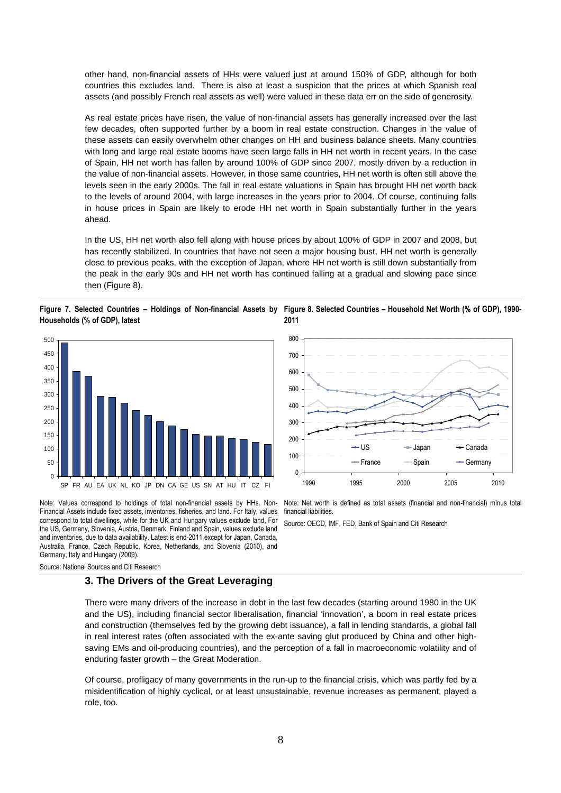other hand, non-financial assets of HHs were valued just at around 150% of GDP, although for both countries this excludes land. There is also at least a suspicion that the prices at which Spanish real assets (and possibly French real assets as well) were valued in these data err on the side of generosity.

As real estate prices have risen, the value of non-financial assets has generally increased over the last few decades, often supported further by a boom in real estate construction. Changes in the value of these assets can easily overwhelm other changes on HH and business balance sheets. Many countries with long and large real estate booms have seen large falls in HH net worth in recent years. In the case of Spain, HH net worth has fallen by around 100% of GDP since 2007, mostly driven by a reduction in the value of non-financial assets. However, in those same countries, HH net worth is often still above the levels seen in the early 2000s. The fall in real estate valuations in Spain has brought HH net worth back to the levels of around 2004, with large increases in the years prior to 2004. Of course, continuing falls in house prices in Spain are likely to erode HH net worth in Spain substantially further in the years ahead.

In the US, HH net worth also fell along with house prices by about 100% of GDP in 2007 and 2008, but has recently stabilized. In countries that have not seen a major housing bust, HH net worth is generally close to previous peaks, with the exception of Japan, where HH net worth is still down substantially from the peak in the early 90s and HH net worth has continued falling at a gradual and slowing pace since then (Figure 8).

**Figure 7. Selected Countries – Holdings of Non-financial Assets by Figure 8. Selected Countries – Household Net Worth (% of GDP), 1990- Households (% of GDP), latest 2011** 



Note: Values correspond to holdings of total non-financial assets by HHs. Non-Financial Assets include fixed assets, inventories, fisheries, and land. For Italy, values correspond to total dwellings, while for the UK and Hungary values exclude land, For the US, Germany, Slovenia, Austria, Denmark, Finland and Spain, values exclude land and inventories, due to data availability. Latest is end-2011 except for Japan, Canada, Australia, France, Czech Republic, Korea, Netherlands, and Slovenia (2010), and Germany, Italy and Hungary (2009).

Source: National Sources and Citi Research

### **3. The Drivers of the Great Leveraging**

There were many drivers of the increase in debt in the last few decades (starting around 1980 in the UK and the US), including financial sector liberalisation, financial 'innovation', a boom in real estate prices and construction (themselves fed by the growing debt issuance), a fall in lending standards, a global fall in real interest rates (often associated with the ex-ante saving glut produced by China and other highsaving EMs and oil-producing countries), and the perception of a fall in macroeconomic volatility and of enduring faster growth – the Great Moderation.

Of course, profligacy of many governments in the run-up to the financial crisis, which was partly fed by a misidentification of highly cyclical, or at least unsustainable, revenue increases as permanent, played a role, too.



Note: Net worth is defined as total assets (financial and non-financial) minus total financial liabilities.

Source: OECD, IMF, FED, Bank of Spain and Citi Research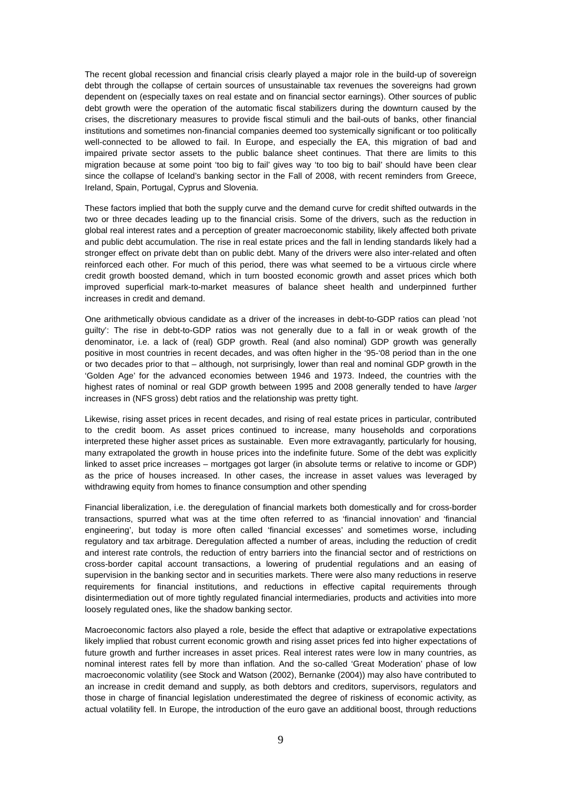The recent global recession and financial crisis clearly played a major role in the build-up of sovereign debt through the collapse of certain sources of unsustainable tax revenues the sovereigns had grown dependent on (especially taxes on real estate and on financial sector earnings). Other sources of public debt growth were the operation of the automatic fiscal stabilizers during the downturn caused by the crises, the discretionary measures to provide fiscal stimuli and the bail-outs of banks, other financial institutions and sometimes non-financial companies deemed too systemically significant or too politically well-connected to be allowed to fail. In Europe, and especially the EA, this migration of bad and impaired private sector assets to the public balance sheet continues. That there are limits to this migration because at some point 'too big to fail' gives way 'to too big to bail' should have been clear since the collapse of Iceland's banking sector in the Fall of 2008, with recent reminders from Greece, Ireland, Spain, Portugal, Cyprus and Slovenia.

These factors implied that both the supply curve and the demand curve for credit shifted outwards in the two or three decades leading up to the financial crisis. Some of the drivers, such as the reduction in global real interest rates and a perception of greater macroeconomic stability, likely affected both private and public debt accumulation. The rise in real estate prices and the fall in lending standards likely had a stronger effect on private debt than on public debt. Many of the drivers were also inter-related and often reinforced each other. For much of this period, there was what seemed to be a virtuous circle where credit growth boosted demand, which in turn boosted economic growth and asset prices which both improved superficial mark-to-market measures of balance sheet health and underpinned further increases in credit and demand.

One arithmetically obvious candidate as a driver of the increases in debt-to-GDP ratios can plead 'not guilty': The rise in debt-to-GDP ratios was not generally due to a fall in or weak growth of the denominator, i.e. a lack of (real) GDP growth. Real (and also nominal) GDP growth was generally positive in most countries in recent decades, and was often higher in the '95-'08 period than in the one or two decades prior to that – although, not surprisingly, lower than real and nominal GDP growth in the 'Golden Age' for the advanced economies between 1946 and 1973. Indeed, the countries with the highest rates of nominal or real GDP growth between 1995 and 2008 generally tended to have larger increases in (NFS gross) debt ratios and the relationship was pretty tight.

Likewise, rising asset prices in recent decades, and rising of real estate prices in particular, contributed to the credit boom. As asset prices continued to increase, many households and corporations interpreted these higher asset prices as sustainable. Even more extravagantly, particularly for housing, many extrapolated the growth in house prices into the indefinite future. Some of the debt was explicitly linked to asset price increases – mortgages got larger (in absolute terms or relative to income or GDP) as the price of houses increased. In other cases, the increase in asset values was leveraged by withdrawing equity from homes to finance consumption and other spending

Financial liberalization, i.e. the deregulation of financial markets both domestically and for cross-border transactions, spurred what was at the time often referred to as 'financial innovation' and 'financial engineering', but today is more often called 'financial excesses' and sometimes worse, including regulatory and tax arbitrage. Deregulation affected a number of areas, including the reduction of credit and interest rate controls, the reduction of entry barriers into the financial sector and of restrictions on cross-border capital account transactions, a lowering of prudential regulations and an easing of supervision in the banking sector and in securities markets. There were also many reductions in reserve requirements for financial institutions, and reductions in effective capital requirements through disintermediation out of more tightly regulated financial intermediaries, products and activities into more loosely regulated ones, like the shadow banking sector.

Macroeconomic factors also played a role, beside the effect that adaptive or extrapolative expectations likely implied that robust current economic growth and rising asset prices fed into higher expectations of future growth and further increases in asset prices. Real interest rates were low in many countries, as nominal interest rates fell by more than inflation. And the so-called 'Great Moderation' phase of low macroeconomic volatility (see Stock and Watson (2002), Bernanke (2004)) may also have contributed to an increase in credit demand and supply, as both debtors and creditors, supervisors, regulators and those in charge of financial legislation underestimated the degree of riskiness of economic activity, as actual volatility fell. In Europe, the introduction of the euro gave an additional boost, through reductions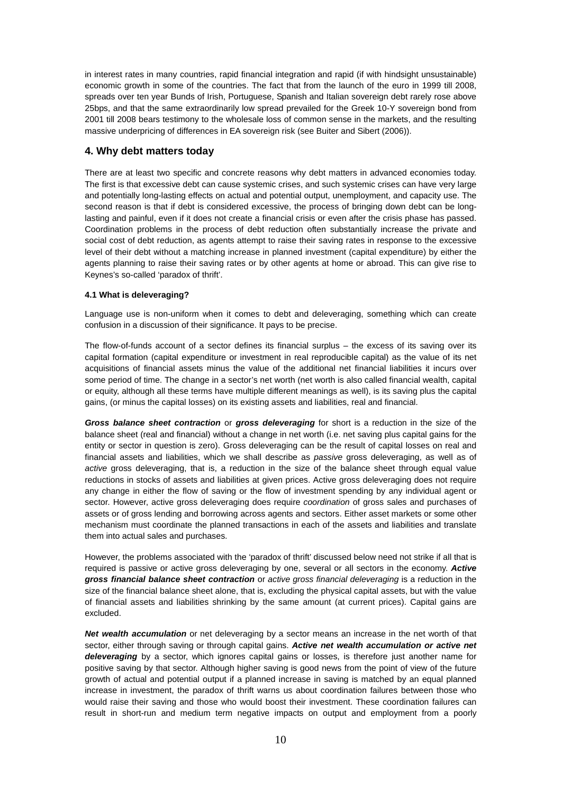in interest rates in many countries, rapid financial integration and rapid (if with hindsight unsustainable) economic growth in some of the countries. The fact that from the launch of the euro in 1999 till 2008, spreads over ten year Bunds of Irish, Portuguese, Spanish and Italian sovereign debt rarely rose above 25bps, and that the same extraordinarily low spread prevailed for the Greek 10-Y sovereign bond from 2001 till 2008 bears testimony to the wholesale loss of common sense in the markets, and the resulting massive underpricing of differences in EA sovereign risk (see Buiter and Sibert (2006)).

# **4. Why debt matters today**

There are at least two specific and concrete reasons why debt matters in advanced economies today. The first is that excessive debt can cause systemic crises, and such systemic crises can have very large and potentially long-lasting effects on actual and potential output, unemployment, and capacity use. The second reason is that if debt is considered excessive, the process of bringing down debt can be longlasting and painful, even if it does not create a financial crisis or even after the crisis phase has passed. Coordination problems in the process of debt reduction often substantially increase the private and social cost of debt reduction, as agents attempt to raise their saving rates in response to the excessive level of their debt without a matching increase in planned investment (capital expenditure) by either the agents planning to raise their saving rates or by other agents at home or abroad. This can give rise to Keynes's so-called 'paradox of thrift'.

# **4.1 What is deleveraging?**

Language use is non-uniform when it comes to debt and deleveraging, something which can create confusion in a discussion of their significance. It pays to be precise.

The flow-of-funds account of a sector defines its financial surplus – the excess of its saving over its capital formation (capital expenditure or investment in real reproducible capital) as the value of its net acquisitions of financial assets minus the value of the additional net financial liabilities it incurs over some period of time. The change in a sector's net worth (net worth is also called financial wealth, capital or equity, although all these terms have multiple different meanings as well), is its saving plus the capital gains, (or minus the capital losses) on its existing assets and liabilities, real and financial.

**Gross balance sheet contraction** or **gross deleveraging** for short is a reduction in the size of the balance sheet (real and financial) without a change in net worth (i.e. net saving plus capital gains for the entity or sector in question is zero). Gross deleveraging can be the result of capital losses on real and financial assets and liabilities, which we shall describe as *passive* gross deleveraging, as well as of active gross deleveraging, that is, a reduction in the size of the balance sheet through equal value reductions in stocks of assets and liabilities at given prices. Active gross deleveraging does not require any change in either the flow of saving or the flow of investment spending by any individual agent or sector. However, active gross deleveraging does require *coordination* of gross sales and purchases of assets or of gross lending and borrowing across agents and sectors. Either asset markets or some other mechanism must coordinate the planned transactions in each of the assets and liabilities and translate them into actual sales and purchases.

However, the problems associated with the 'paradox of thrift' discussed below need not strike if all that is required is passive or active gross deleveraging by one, several or all sectors in the economy. **Active gross financial balance sheet contraction** or active gross financial deleveraging is a reduction in the size of the financial balance sheet alone, that is, excluding the physical capital assets, but with the value of financial assets and liabilities shrinking by the same amount (at current prices). Capital gains are excluded.

**Net wealth accumulation** or net deleveraging by a sector means an increase in the net worth of that sector, either through saving or through capital gains. **Active net wealth accumulation or active net deleveraging** by a sector, which ignores capital gains or losses, is therefore just another name for positive saving by that sector. Although higher saving is good news from the point of view of the future growth of actual and potential output if a planned increase in saving is matched by an equal planned increase in investment, the paradox of thrift warns us about coordination failures between those who would raise their saving and those who would boost their investment. These coordination failures can result in short-run and medium term negative impacts on output and employment from a poorly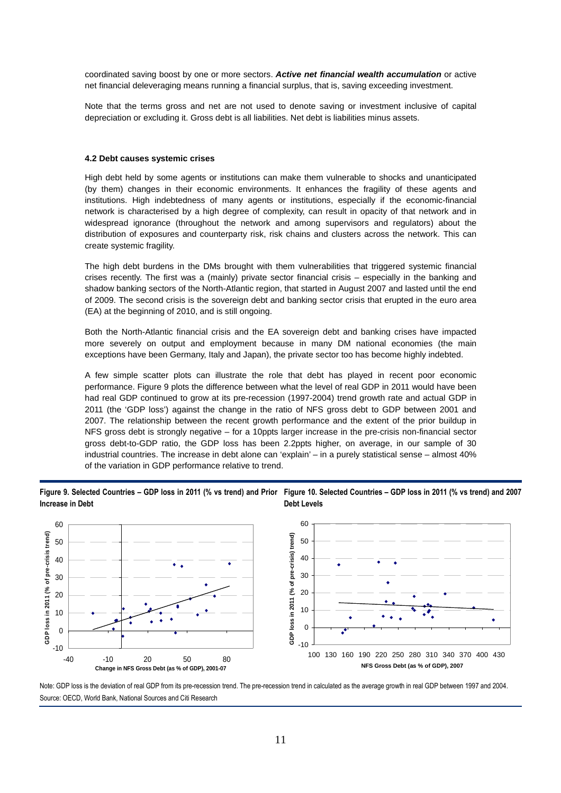coordinated saving boost by one or more sectors. **Active net financial wealth accumulation** or active net financial deleveraging means running a financial surplus, that is, saving exceeding investment.

Note that the terms gross and net are not used to denote saving or investment inclusive of capital depreciation or excluding it. Gross debt is all liabilities. Net debt is liabilities minus assets.

#### **4.2 Debt causes systemic crises**

High debt held by some agents or institutions can make them vulnerable to shocks and unanticipated (by them) changes in their economic environments. It enhances the fragility of these agents and institutions. High indebtedness of many agents or institutions, especially if the economic-financial network is characterised by a high degree of complexity, can result in opacity of that network and in widespread ignorance (throughout the network and among supervisors and regulators) about the distribution of exposures and counterparty risk, risk chains and clusters across the network. This can create systemic fragility.

The high debt burdens in the DMs brought with them vulnerabilities that triggered systemic financial crises recently. The first was a (mainly) private sector financial crisis – especially in the banking and shadow banking sectors of the North-Atlantic region, that started in August 2007 and lasted until the end of 2009. The second crisis is the sovereign debt and banking sector crisis that erupted in the euro area (EA) at the beginning of 2010, and is still ongoing.

Both the North-Atlantic financial crisis and the EA sovereign debt and banking crises have impacted more severely on output and employment because in many DM national economies (the main exceptions have been Germany, Italy and Japan), the private sector too has become highly indebted.

A few simple scatter plots can illustrate the role that debt has played in recent poor economic performance. Figure 9 plots the difference between what the level of real GDP in 2011 would have been had real GDP continued to grow at its pre-recession (1997-2004) trend growth rate and actual GDP in 2011 (the 'GDP loss') against the change in the ratio of NFS gross debt to GDP between 2001 and 2007. The relationship between the recent growth performance and the extent of the prior buildup in NFS gross debt is strongly negative – for a 10ppts larger increase in the pre-crisis non-financial sector gross debt-to-GDP ratio, the GDP loss has been 2.2ppts higher, on average, in our sample of 30 industrial countries. The increase in debt alone can 'explain' – in a purely statistical sense – almost 40% of the variation in GDP performance relative to trend.

**Figure 9. Selected Countries – GDP loss in 2011 (% vs trend) and Prior Figure 10. Selected Countries – GDP loss in 2011 (% vs trend) and 2007 Increase in Debt Debt Levels** 



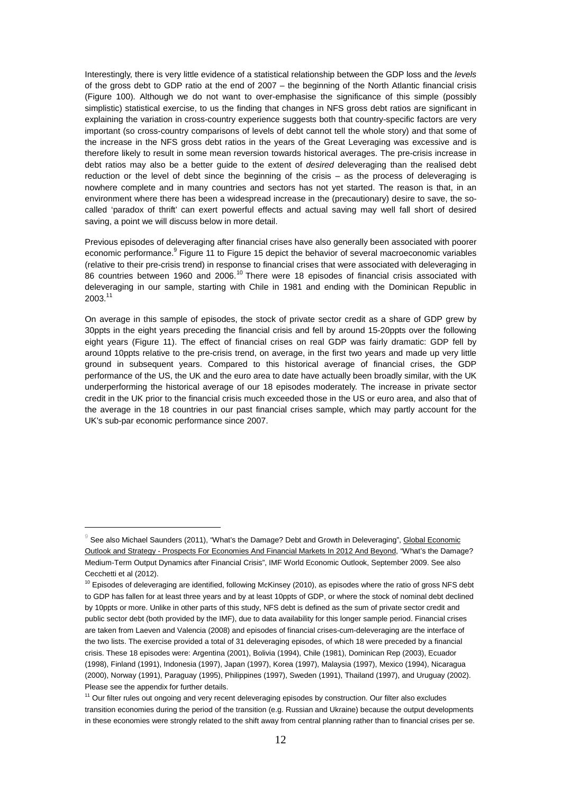Interestingly, there is very little evidence of a statistical relationship between the GDP loss and the levels of the gross debt to GDP ratio at the end of 2007 – the beginning of the North Atlantic financial crisis (Figure 100). Although we do not want to over-emphasise the significance of this simple (possibly simplistic) statistical exercise, to us the finding that changes in NFS gross debt ratios are significant in explaining the variation in cross-country experience suggests both that country-specific factors are very important (so cross-country comparisons of levels of debt cannot tell the whole story) and that some of the increase in the NFS gross debt ratios in the years of the Great Leveraging was excessive and is therefore likely to result in some mean reversion towards historical averages. The pre-crisis increase in debt ratios may also be a better quide to the extent of *desired* deleveraging than the realised debt reduction or the level of debt since the beginning of the crisis – as the process of deleveraging is nowhere complete and in many countries and sectors has not yet started. The reason is that, in an environment where there has been a widespread increase in the (precautionary) desire to save, the socalled 'paradox of thrift' can exert powerful effects and actual saving may well fall short of desired saving, a point we will discuss below in more detail.

Previous episodes of deleveraging after financial crises have also generally been associated with poorer economic performance.<sup>9</sup> Figure 11 to Figure 15 depict the behavior of several macroeconomic variables (relative to their pre-crisis trend) in response to financial crises that were associated with deleveraging in 86 countries between 1960 and 2006.<sup>10</sup> There were 18 episodes of financial crisis associated with deleveraging in our sample, starting with Chile in 1981 and ending with the Dominican Republic in 2003.<sup>11</sup>

On average in this sample of episodes, the stock of private sector credit as a share of GDP grew by 30ppts in the eight years preceding the financial crisis and fell by around 15-20ppts over the following eight years (Figure 11). The effect of financial crises on real GDP was fairly dramatic: GDP fell by around 10ppts relative to the pre-crisis trend, on average, in the first two years and made up very little ground in subsequent years. Compared to this historical average of financial crises, the GDP performance of the US, the UK and the euro area to date have actually been broadly similar, with the UK underperforming the historical average of our 18 episodes moderately. The increase in private sector credit in the UK prior to the financial crisis much exceeded those in the US or euro area, and also that of the average in the 18 countries in our past financial crises sample, which may partly account for the UK's sub-par economic performance since 2007.

 $\overline{a}$ 

 $^9$  See also Michael Saunders (2011), "What's the Damage? Debt and Growth in Deleveraging", <u>Global Economic</u> Outlook and Strategy - Prospects For Economies And Financial Markets In 2012 And Beyond, "What's the Damage? Medium-Term Output Dynamics after Financial Crisis", IMF World Economic Outlook, September 2009. See also Cecchetti et al (2012).

 $10$  Episodes of deleveraging are identified, following McKinsey (2010), as episodes where the ratio of gross NFS debt to GDP has fallen for at least three years and by at least 10ppts of GDP, or where the stock of nominal debt declined by 10ppts or more. Unlike in other parts of this study, NFS debt is defined as the sum of private sector credit and public sector debt (both provided by the IMF), due to data availability for this longer sample period. Financial crises are taken from Laeven and Valencia (2008) and episodes of financial crises-cum-deleveraging are the interface of the two lists. The exercise provided a total of 31 deleveraging episodes, of which 18 were preceded by a financial crisis. These 18 episodes were: Argentina (2001), Bolivia (1994), Chile (1981), Dominican Rep (2003), Ecuador (1998), Finland (1991), Indonesia (1997), Japan (1997), Korea (1997), Malaysia (1997), Mexico (1994), Nicaragua (2000), Norway (1991), Paraguay (1995), Philippines (1997), Sweden (1991), Thailand (1997), and Uruguay (2002). Please see the appendix for further details.

<sup>&</sup>lt;sup>11</sup> Our filter rules out ongoing and very recent deleveraging episodes by construction. Our filter also excludes transition economies during the period of the transition (e.g. Russian and Ukraine) because the output developments in these economies were strongly related to the shift away from central planning rather than to financial crises per se.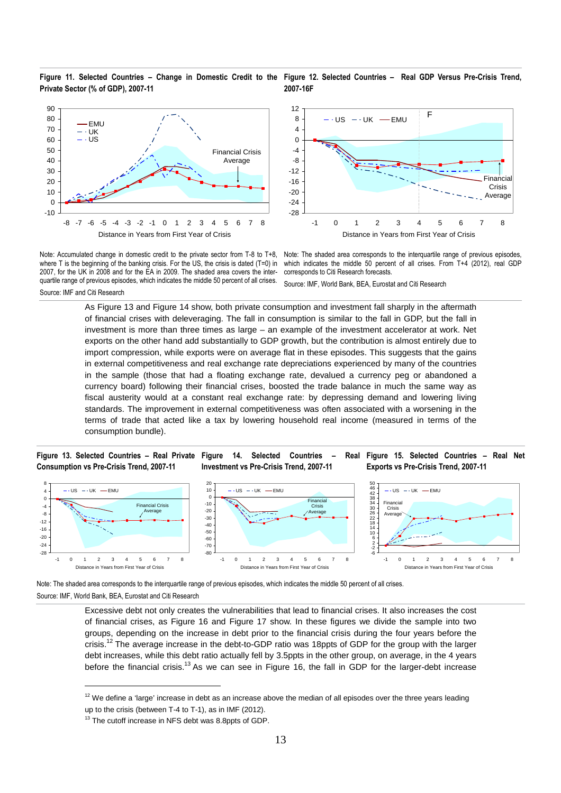**Figure 11. Selected Countries – Change in Domestic Credit to the Figure 12. Selected Countries – Real GDP Versus Pre-Crisis Trend, Private Sector (% of GDP), 2007-11 2007-16F** 





Note: Accumulated change in domestic credit to the private sector from T-8 to T+8, where T is the beginning of the banking crisis. For the US, the crisis is dated (T=0) in 2007, for the UK in 2008 and for the EA in 2009. The shaded area covers the interquartile range of previous episodes, which indicates the middle 50 percent of all crises. Source: IMF and Citi Research

Note: The shaded area corresponds to the interquartile range of previous episodes, which indicates the middle 50 percent of all crises. From T+4 (2012), real GDP corresponds to Citi Research forecasts.

Source: IMF, World Bank, BEA, Eurostat and Citi Research

As Figure 13 and Figure 14 show, both private consumption and investment fall sharply in the aftermath of financial crises with deleveraging. The fall in consumption is similar to the fall in GDP, but the fall in investment is more than three times as large – an example of the investment accelerator at work. Net exports on the other hand add substantially to GDP growth, but the contribution is almost entirely due to import compression, while exports were on average flat in these episodes. This suggests that the gains in external competitiveness and real exchange rate depreciations experienced by many of the countries in the sample (those that had a floating exchange rate, devalued a currency peg or abandoned a currency board) following their financial crises, boosted the trade balance in much the same way as fiscal austerity would at a constant real exchange rate: by depressing demand and lowering living standards. The improvement in external competitiveness was often associated with a worsening in the terms of trade that acted like a tax by lowering household real income (measured in terms of the consumption bundle).

#### **Figure 13. Selected Countries – Real Private Figure 14. Selected Countries – Real Consumption vs Pre-Crisis Trend, 2007-11**

 $\overline{a}$ 

**Investment vs Pre-Crisis Trend, 2007-11** 





Note: The shaded area corresponds to the interquartile range of previous episodes, which indicates the middle 50 percent of all crises. Source: IMF, World Bank, BEA, Eurostat and Citi Research

> Excessive debt not only creates the vulnerabilities that lead to financial crises. It also increases the cost of financial crises, as Figure 16 and Figure 17 show. In these figures we divide the sample into two groups, depending on the increase in debt prior to the financial crisis during the four years before the crisis.<sup>12</sup> The average increase in the debt-to-GDP ratio was 18ppts of GDP for the group with the larger debt increases, while this debt ratio actually fell by 3.5ppts in the other group, on average, in the 4 years before the financial crisis.<sup>13</sup> As we can see in Figure 16, the fall in GDP for the larger-debt increase

 $12$  We define a 'large' increase in debt as an increase above the median of all episodes over the three years leading up to the crisis (between T-4 to T-1), as in IMF (2012).

<sup>&</sup>lt;sup>13</sup> The cutoff increase in NFS debt was 8.8ppts of GDP.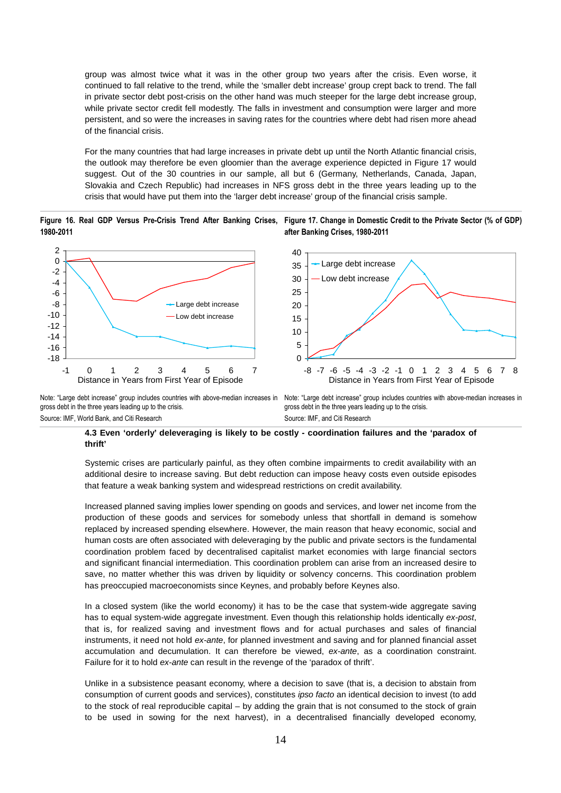group was almost twice what it was in the other group two years after the crisis. Even worse, it continued to fall relative to the trend, while the 'smaller debt increase' group crept back to trend. The fall in private sector debt post-crisis on the other hand was much steeper for the large debt increase group, while private sector credit fell modestly. The falls in investment and consumption were larger and more persistent, and so were the increases in saving rates for the countries where debt had risen more ahead of the financial crisis.

For the many countries that had large increases in private debt up until the North Atlantic financial crisis, the outlook may therefore be even gloomier than the average experience depicted in Figure 17 would suggest. Out of the 30 countries in our sample, all but 6 (Germany, Netherlands, Canada, Japan, Slovakia and Czech Republic) had increases in NFS gross debt in the three years leading up to the crisis that would have put them into the 'larger debt increase' group of the financial crisis sample.

Figure 16. Real GDP Versus Pre-Crisis Trend After Banking Crises, Figure 17. Change in Domestic Credit to the Private Sector (% of GDP) **1980-2011 after Banking Crises, 1980-2011** 



Note: "Large debt increase" group includes countries with above-median increases in Note: "Large debt increase" group includes countries with above-median increases in gross debt in the three years leading up to the crisis. Source: IMF, World Bank, and Citi Research

gross debt in the three years leading up to the crisis. Source: IMF, and Citi Research

#### **4.3 Even 'orderly' deleveraging is likely to be costly - coordination failures and the 'paradox of thrift'**

Systemic crises are particularly painful, as they often combine impairments to credit availability with an additional desire to increase saving. But debt reduction can impose heavy costs even outside episodes that feature a weak banking system and widespread restrictions on credit availability.

Increased planned saving implies lower spending on goods and services, and lower net income from the production of these goods and services for somebody unless that shortfall in demand is somehow replaced by increased spending elsewhere. However, the main reason that heavy economic, social and human costs are often associated with deleveraging by the public and private sectors is the fundamental coordination problem faced by decentralised capitalist market economies with large financial sectors and significant financial intermediation. This coordination problem can arise from an increased desire to save, no matter whether this was driven by liquidity or solvency concerns. This coordination problem has preoccupied macroeconomists since Keynes, and probably before Keynes also.

In a closed system (like the world economy) it has to be the case that system-wide aggregate saving has to equal system-wide aggregate investment. Even though this relationship holds identically ex-post, that is, for realized saving and investment flows and for actual purchases and sales of financial instruments, it need not hold ex-ante, for planned investment and saving and for planned financial asset accumulation and decumulation. It can therefore be viewed, ex-ante, as a coordination constraint. Failure for it to hold ex-ante can result in the revenge of the 'paradox of thrift'.

Unlike in a subsistence peasant economy, where a decision to save (that is, a decision to abstain from consumption of current goods and services), constitutes ipso facto an identical decision to invest (to add to the stock of real reproducible capital – by adding the grain that is not consumed to the stock of grain to be used in sowing for the next harvest), in a decentralised financially developed economy,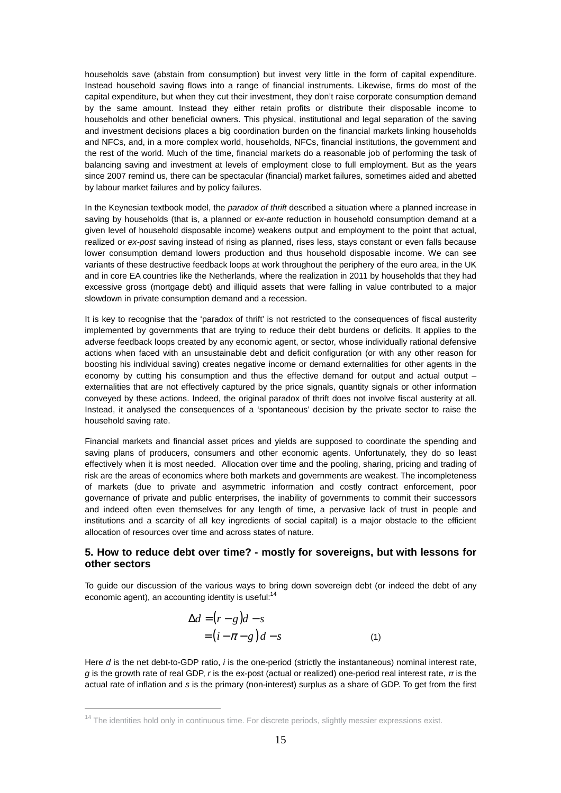households save (abstain from consumption) but invest very little in the form of capital expenditure. Instead household saving flows into a range of financial instruments. Likewise, firms do most of the capital expenditure, but when they cut their investment, they don't raise corporate consumption demand by the same amount. Instead they either retain profits or distribute their disposable income to households and other beneficial owners. This physical, institutional and legal separation of the saving and investment decisions places a big coordination burden on the financial markets linking households and NFCs, and, in a more complex world, households, NFCs, financial institutions, the government and the rest of the world. Much of the time, financial markets do a reasonable job of performing the task of balancing saving and investment at levels of employment close to full employment. But as the years since 2007 remind us, there can be spectacular (financial) market failures, sometimes aided and abetted by labour market failures and by policy failures.

In the Keynesian textbook model, the paradox of thrift described a situation where a planned increase in saving by households (that is, a planned or ex-ante reduction in household consumption demand at a given level of household disposable income) weakens output and employment to the point that actual, realized or ex-post saving instead of rising as planned, rises less, stays constant or even falls because lower consumption demand lowers production and thus household disposable income. We can see variants of these destructive feedback loops at work throughout the periphery of the euro area, in the UK and in core EA countries like the Netherlands, where the realization in 2011 by households that they had excessive gross (mortgage debt) and illiquid assets that were falling in value contributed to a major slowdown in private consumption demand and a recession.

It is key to recognise that the 'paradox of thrift' is not restricted to the consequences of fiscal austerity implemented by governments that are trying to reduce their debt burdens or deficits. It applies to the adverse feedback loops created by any economic agent, or sector, whose individually rational defensive actions when faced with an unsustainable debt and deficit configuration (or with any other reason for boosting his individual saving) creates negative income or demand externalities for other agents in the economy by cutting his consumption and thus the effective demand for output and actual output – externalities that are not effectively captured by the price signals, quantity signals or other information conveyed by these actions. Indeed, the original paradox of thrift does not involve fiscal austerity at all. Instead, it analysed the consequences of a 'spontaneous' decision by the private sector to raise the household saving rate.

Financial markets and financial asset prices and yields are supposed to coordinate the spending and saving plans of producers, consumers and other economic agents. Unfortunately, they do so least effectively when it is most needed. Allocation over time and the pooling, sharing, pricing and trading of risk are the areas of economics where both markets and governments are weakest. The incompleteness of markets (due to private and asymmetric information and costly contract enforcement, poor governance of private and public enterprises, the inability of governments to commit their successors and indeed often even themselves for any length of time, a pervasive lack of trust in people and institutions and a scarcity of all key ingredients of social capital) is a major obstacle to the efficient allocation of resources over time and across states of nature.

# **5. How to reduce debt over time? - mostly for sovereigns, but with lessons for other sectors**

To guide our discussion of the various ways to bring down sovereign debt (or indeed the debt of any economic agent), an accounting identity is useful: $14$ 

$$
\Delta d = (r - g)d - s
$$
  
=  $(i - \pi - g)d - s$  (1)

Here d is the net debt-to-GDP ratio, i is the one-period (strictly the instantaneous) nominal interest rate, g is the growth rate of real GDP, r is the ex-post (actual or realized) one-period real interest rate, *π* is the actual rate of inflation and s is the primary (non-interest) surplus as a share of GDP. To get from the first

 $\overline{a}$ 

<sup>&</sup>lt;sup>14</sup> The identities hold only in continuous time. For discrete periods, slightly messier expressions exist.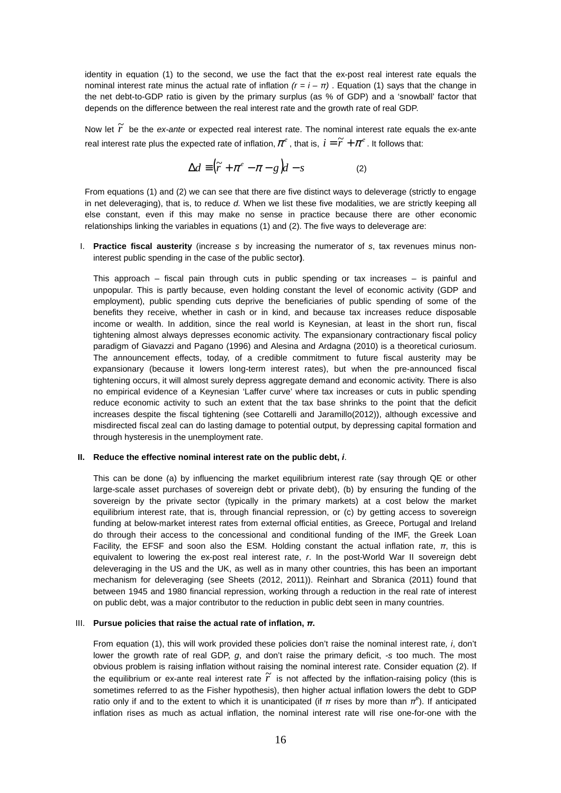identity in equation (1) to the second, we use the fact that the ex-post real interest rate equals the nominal interest rate minus the actual rate of inflation  $(r = i - \pi)$ . Equation (1) says that the change in the net debt-to-GDP ratio is given by the primary surplus (as % of GDP) and a 'snowball' factor that depends on the difference between the real interest rate and the growth rate of real GDP.

Now let  $\widetilde{r}$  be the *ex-ante* or expected real interest rate. The nominal interest rate equals the ex-ante real interest rate plus the expected rate of inflation,  $\pi^e$  , that is,  $i = \widetilde{r} + \pi^e$  . It follows that:

$$
\Delta d \equiv (\tilde{r} + \pi^e - \pi - g)d - s \tag{2}
$$

From equations (1) and (2) we can see that there are five distinct ways to deleverage (strictly to engage in net deleveraging), that is, to reduce d. When we list these five modalities, we are strictly keeping all else constant, even if this may make no sense in practice because there are other economic relationships linking the variables in equations (1) and (2). The five ways to deleverage are:

I. **Practice fiscal austerity** (increase s by increasing the numerator of s, tax revenues minus noninterest public spending in the case of the public sector**)**.

This approach  $-$  fiscal pain through cuts in public spending or tax increases  $-$  is painful and unpopular. This is partly because, even holding constant the level of economic activity (GDP and employment), public spending cuts deprive the beneficiaries of public spending of some of the benefits they receive, whether in cash or in kind, and because tax increases reduce disposable income or wealth. In addition, since the real world is Keynesian, at least in the short run, fiscal tightening almost always depresses economic activity. The expansionary contractionary fiscal policy paradigm of Giavazzi and Pagano (1996) and Alesina and Ardagna (2010) is a theoretical curiosum. The announcement effects, today, of a credible commitment to future fiscal austerity may be expansionary (because it lowers long-term interest rates), but when the pre-announced fiscal tightening occurs, it will almost surely depress aggregate demand and economic activity. There is also no empirical evidence of a Keynesian 'Laffer curve' where tax increases or cuts in public spending reduce economic activity to such an extent that the tax base shrinks to the point that the deficit increases despite the fiscal tightening (see Cottarelli and Jaramillo(2012)), although excessive and misdirected fiscal zeal can do lasting damage to potential output, by depressing capital formation and through hysteresis in the unemployment rate.

#### **II. Reduce the effective nominal interest rate on the public debt, i**.

This can be done (a) by influencing the market equilibrium interest rate (say through QE or other large-scale asset purchases of sovereign debt or private debt), (b) by ensuring the funding of the sovereign by the private sector (typically in the primary markets) at a cost below the market equilibrium interest rate, that is, through financial repression, or (c) by getting access to sovereign funding at below-market interest rates from external official entities, as Greece, Portugal and Ireland do through their access to the concessional and conditional funding of the IMF, the Greek Loan Facility, the EFSF and soon also the ESM. Holding constant the actual inflation rate,  $\pi$ , this is equivalent to lowering the ex-post real interest rate, r. In the post-World War II sovereign debt deleveraging in the US and the UK, as well as in many other countries, this has been an important mechanism for deleveraging (see Sheets (2012, 2011)). Reinhart and Sbranica (2011) found that between 1945 and 1980 financial repression, working through a reduction in the real rate of interest on public debt, was a major contributor to the reduction in public debt seen in many countries.

#### III. **Pursue policies that raise the actual rate of inflation,** *π***.**

From equation (1), this will work provided these policies don't raise the nominal interest rate, i, don't lower the growth rate of real GDP,  $q$ , and don't raise the primary deficit,  $-$ s too much. The most obvious problem is raising inflation without raising the nominal interest rate. Consider equation (2). If the equilibrium or ex-ante real interest rate  $\tilde{r}$  is not affected by the inflation-raising policy (this is sometimes referred to as the Fisher hypothesis), then higher actual inflation lowers the debt to GDP ratio only if and to the extent to which it is unanticipated (if  $\pi$  rises by more than  $\pi^e$ ). If anticipated inflation rises as much as actual inflation, the nominal interest rate will rise one-for-one with the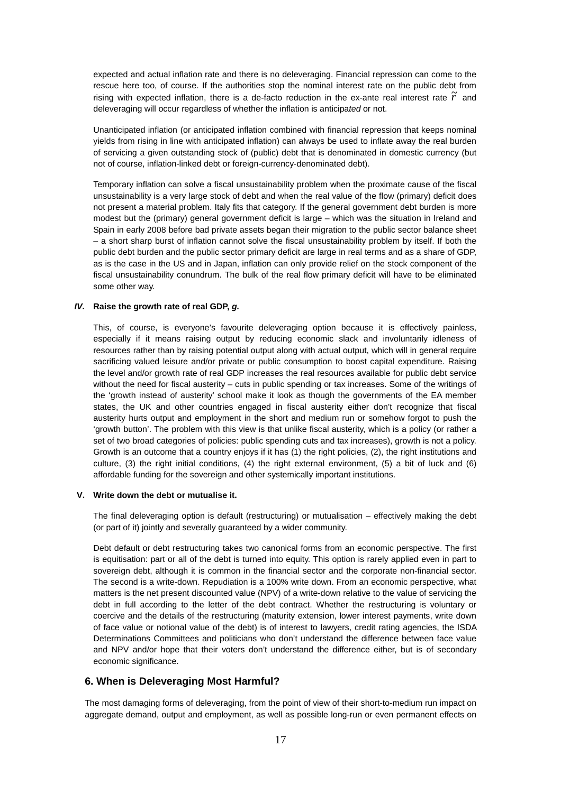expected and actual inflation rate and there is no deleveraging. Financial repression can come to the rescue here too, of course. If the authorities stop the nominal interest rate on the public debt from rising with expected inflation, there is a de-facto reduction in the ex-ante real interest rate  $\tilde{r}$  and deleveraging will occur regardless of whether the inflation is anticipated or not.

Unanticipated inflation (or anticipated inflation combined with financial repression that keeps nominal yields from rising in line with anticipated inflation) can always be used to inflate away the real burden of servicing a given outstanding stock of (public) debt that is denominated in domestic currency (but not of course, inflation-linked debt or foreign-currency-denominated debt).

Temporary inflation can solve a fiscal unsustainability problem when the proximate cause of the fiscal unsustainability is a very large stock of debt and when the real value of the flow (primary) deficit does not present a material problem. Italy fits that category. If the general government debt burden is more modest but the (primary) general government deficit is large – which was the situation in Ireland and Spain in early 2008 before bad private assets began their migration to the public sector balance sheet – a short sharp burst of inflation cannot solve the fiscal unsustainability problem by itself. If both the public debt burden and the public sector primary deficit are large in real terms and as a share of GDP, as is the case in the US and in Japan, inflation can only provide relief on the stock component of the fiscal unsustainability conundrum. The bulk of the real flow primary deficit will have to be eliminated some other way.

### **IV. Raise the growth rate of real GDP, g.**

This, of course, is everyone's favourite deleveraging option because it is effectively painless, especially if it means raising output by reducing economic slack and involuntarily idleness of resources rather than by raising potential output along with actual output, which will in general require sacrificing valued leisure and/or private or public consumption to boost capital expenditure. Raising the level and/or growth rate of real GDP increases the real resources available for public debt service without the need for fiscal austerity – cuts in public spending or tax increases. Some of the writings of the 'growth instead of austerity' school make it look as though the governments of the EA member states, the UK and other countries engaged in fiscal austerity either don't recognize that fiscal austerity hurts output and employment in the short and medium run or somehow forgot to push the 'growth button'. The problem with this view is that unlike fiscal austerity, which is a policy (or rather a set of two broad categories of policies: public spending cuts and tax increases), growth is not a policy. Growth is an outcome that a country enjoys if it has (1) the right policies, (2), the right institutions and culture, (3) the right initial conditions, (4) the right external environment, (5) a bit of luck and (6) affordable funding for the sovereign and other systemically important institutions.

#### **V. Write down the debt or mutualise it.**

The final deleveraging option is default (restructuring) or mutualisation – effectively making the debt (or part of it) jointly and severally guaranteed by a wider community.

Debt default or debt restructuring takes two canonical forms from an economic perspective. The first is equitisation: part or all of the debt is turned into equity. This option is rarely applied even in part to sovereign debt, although it is common in the financial sector and the corporate non-financial sector. The second is a write-down. Repudiation is a 100% write down. From an economic perspective, what matters is the net present discounted value (NPV) of a write-down relative to the value of servicing the debt in full according to the letter of the debt contract. Whether the restructuring is voluntary or coercive and the details of the restructuring (maturity extension, lower interest payments, write down of face value or notional value of the debt) is of interest to lawyers, credit rating agencies, the ISDA Determinations Committees and politicians who don't understand the difference between face value and NPV and/or hope that their voters don't understand the difference either, but is of secondary economic significance.

# **6. When is Deleveraging Most Harmful?**

The most damaging forms of deleveraging, from the point of view of their short-to-medium run impact on aggregate demand, output and employment, as well as possible long-run or even permanent effects on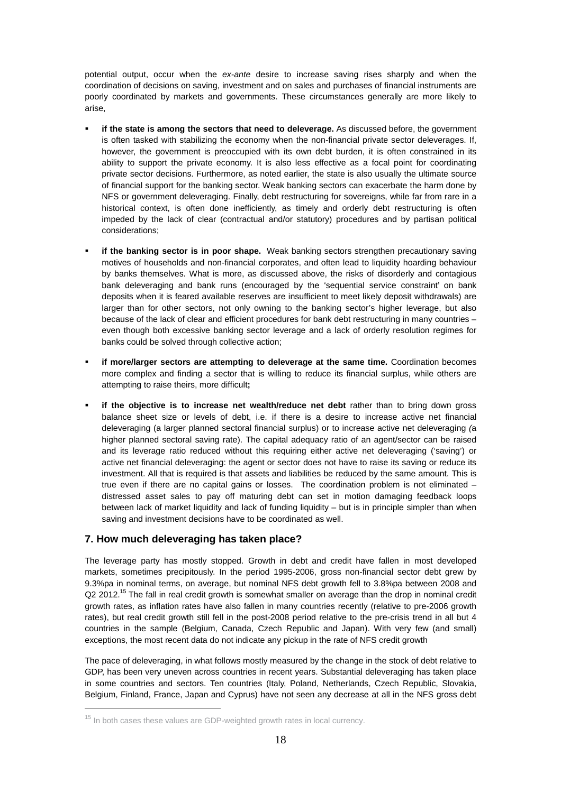potential output, occur when the ex-ante desire to increase saving rises sharply and when the coordination of decisions on saving, investment and on sales and purchases of financial instruments are poorly coordinated by markets and governments. These circumstances generally are more likely to arise,

- **if the state is among the sectors that need to deleverage.** As discussed before, the government is often tasked with stabilizing the economy when the non-financial private sector deleverages. If, however, the government is preoccupied with its own debt burden, it is often constrained in its ability to support the private economy. It is also less effective as a focal point for coordinating private sector decisions. Furthermore, as noted earlier, the state is also usually the ultimate source of financial support for the banking sector. Weak banking sectors can exacerbate the harm done by NFS or government deleveraging. Finally, debt restructuring for sovereigns, while far from rare in a historical context, is often done inefficiently, as timely and orderly debt restructuring is often impeded by the lack of clear (contractual and/or statutory) procedures and by partisan political considerations;
- **if the banking sector is in poor shape.** Weak banking sectors strengthen precautionary saving motives of households and non-financial corporates, and often lead to liquidity hoarding behaviour by banks themselves. What is more, as discussed above, the risks of disorderly and contagious bank deleveraging and bank runs (encouraged by the 'sequential service constraint' on bank deposits when it is feared available reserves are insufficient to meet likely deposit withdrawals) are larger than for other sectors, not only owning to the banking sector's higher leverage, but also because of the lack of clear and efficient procedures for bank debt restructuring in many countries – even though both excessive banking sector leverage and a lack of orderly resolution regimes for banks could be solved through collective action;
- **if more/larger sectors are attempting to deleverage at the same time.** Coordination becomes more complex and finding a sector that is willing to reduce its financial surplus, while others are attempting to raise theirs, more difficult**;**
- **if the objective is to increase net wealth/reduce net debt** rather than to bring down gross balance sheet size or levels of debt, i.e. if there is a desire to increase active net financial deleveraging (a larger planned sectoral financial surplus) or to increase active net deleveraging (a higher planned sectoral saving rate). The capital adequacy ratio of an agent/sector can be raised and its leverage ratio reduced without this requiring either active net deleveraging ('saving') or active net financial deleveraging: the agent or sector does not have to raise its saving or reduce its investment. All that is required is that assets and liabilities be reduced by the same amount. This is true even if there are no capital gains or losses. The coordination problem is not eliminated – distressed asset sales to pay off maturing debt can set in motion damaging feedback loops between lack of market liquidity and lack of funding liquidity – but is in principle simpler than when saving and investment decisions have to be coordinated as well.

# **7. How much deleveraging has taken place?**

 $\overline{a}$ 

The leverage party has mostly stopped. Growth in debt and credit have fallen in most developed markets, sometimes precipitously. In the period 1995-2006, gross non-financial sector debt grew by 9.3%pa in nominal terms, on average, but nominal NFS debt growth fell to 3.8%pa between 2008 and  $Q2$  2012.<sup>15</sup> The fall in real credit growth is somewhat smaller on average than the drop in nominal credit growth rates, as inflation rates have also fallen in many countries recently (relative to pre-2006 growth rates), but real credit growth still fell in the post-2008 period relative to the pre-crisis trend in all but 4 countries in the sample (Belgium, Canada, Czech Republic and Japan). With very few (and small) exceptions, the most recent data do not indicate any pickup in the rate of NFS credit growth

The pace of deleveraging, in what follows mostly measured by the change in the stock of debt relative to GDP, has been very uneven across countries in recent years. Substantial deleveraging has taken place in some countries and sectors. Ten countries (Italy, Poland, Netherlands, Czech Republic, Slovakia, Belgium, Finland, France, Japan and Cyprus) have not seen any decrease at all in the NFS gross debt

 $15$  In both cases these values are GDP-weighted growth rates in local currency.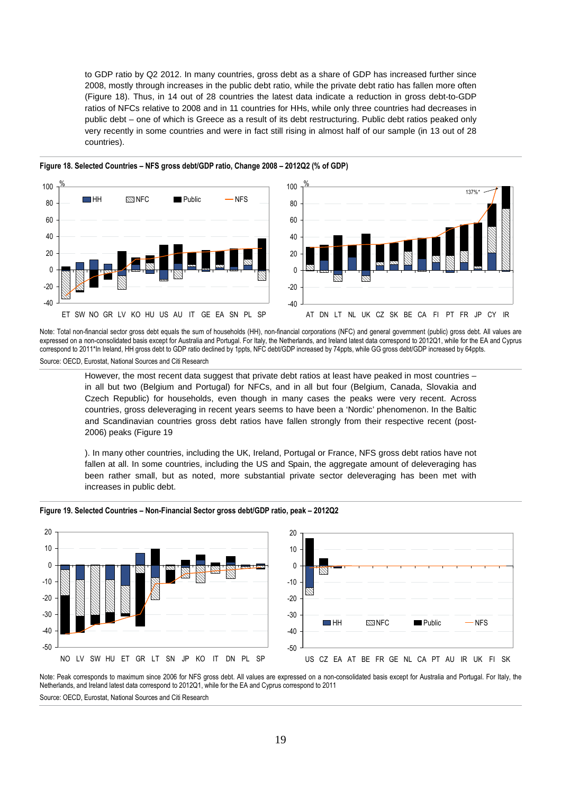to GDP ratio by Q2 2012. In many countries, gross debt as a share of GDP has increased further since 2008, mostly through increases in the public debt ratio, while the private debt ratio has fallen more often (Figure 18). Thus, in 14 out of 28 countries the latest data indicate a reduction in gross debt-to-GDP ratios of NFCs relative to 2008 and in 11 countries for HHs, while only three countries had decreases in public debt – one of which is Greece as a result of its debt restructuring. Public debt ratios peaked only very recently in some countries and were in fact still rising in almost half of our sample (in 13 out of 28 countries).





**Figure 18. Selected Countries – NFS gross debt/GDP ratio, Change 2008 – 2012Q2 (% of GDP)** 

Note: Total non-financial sector gross debt equals the sum of households (HH), non-financial corporations (NFC) and general government (public) gross debt. All values are expressed on a non-consolidated basis except for Australia and Portugal. For Italy, the Netherlands, and Ireland latest data correspond to 2012Q1, while for the EA and Cyprus correspond to 2011\*In Ireland, HH gross debt to GDP ratio declined by 1ppts, NFC debt/GDP increased by 74ppts, while GG gross debt/GDP increased by 64ppts. Source: OECD, Eurostat, National Sources and Citi Research

However, the most recent data suggest that private debt ratios at least have peaked in most countries – in all but two (Belgium and Portugal) for NFCs, and in all but four (Belgium, Canada, Slovakia and Czech Republic) for households, even though in many cases the peaks were very recent. Across countries, gross deleveraging in recent years seems to have been a 'Nordic' phenomenon. In the Baltic and Scandinavian countries gross debt ratios have fallen strongly from their respective recent (post-2006) peaks (Figure 19

). In many other countries, including the UK, Ireland, Portugal or France, NFS gross debt ratios have not fallen at all. In some countries, including the US and Spain, the aggregate amount of deleveraging has been rather small, but as noted, more substantial private sector deleveraging has been met with increases in public debt.



#### **Figure 19. Selected Countries – Non-Financial Sector gross debt/GDP ratio, peak – 2012Q2**

Note: Peak corresponds to maximum since 2006 for NFS gross debt. All values are expressed on a non-consolidated basis except for Australia and Portugal. For Italy, the Netherlands, and Ireland latest data correspond to 2012Q1, while for the EA and Cyprus correspond to 2011 Source: OECD, Eurostat, National Sources and Citi Research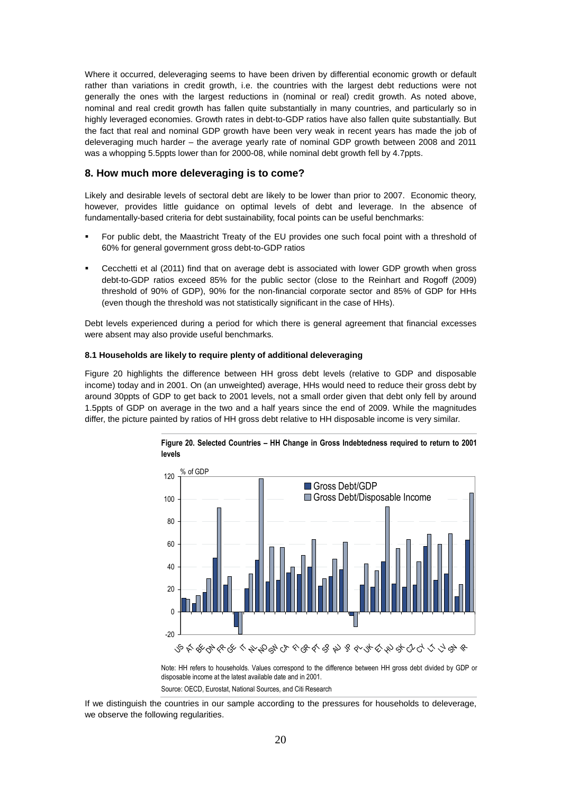Where it occurred, deleveraging seems to have been driven by differential economic growth or default rather than variations in credit growth, i.e. the countries with the largest debt reductions were not generally the ones with the largest reductions in (nominal or real) credit growth. As noted above, nominal and real credit growth has fallen quite substantially in many countries, and particularly so in highly leveraged economies. Growth rates in debt-to-GDP ratios have also fallen quite substantially. But the fact that real and nominal GDP growth have been very weak in recent years has made the job of deleveraging much harder – the average yearly rate of nominal GDP growth between 2008 and 2011 was a whopping 5.5ppts lower than for 2000-08, while nominal debt growth fell by 4.7ppts.

### **8. How much more deleveraging is to come?**

Likely and desirable levels of sectoral debt are likely to be lower than prior to 2007. Economic theory, however, provides little guidance on optimal levels of debt and leverage. In the absence of fundamentally-based criteria for debt sustainability, focal points can be useful benchmarks:

- For public debt, the Maastricht Treaty of the EU provides one such focal point with a threshold of 60% for general government gross debt-to-GDP ratios
- Cecchetti et al (2011) find that on average debt is associated with lower GDP growth when gross debt-to-GDP ratios exceed 85% for the public sector (close to the Reinhart and Rogoff (2009) threshold of 90% of GDP), 90% for the non-financial corporate sector and 85% of GDP for HHs (even though the threshold was not statistically significant in the case of HHs).

Debt levels experienced during a period for which there is general agreement that financial excesses were absent may also provide useful benchmarks.

#### **8.1 Households are likely to require plenty of additional deleveraging**

Figure 20 highlights the difference between HH gross debt levels (relative to GDP and disposable income) today and in 2001. On (an unweighted) average, HHs would need to reduce their gross debt by around 30ppts of GDP to get back to 2001 levels, not a small order given that debt only fell by around 1.5ppts of GDP on average in the two and a half years since the end of 2009. While the magnitudes differ, the picture painted by ratios of HH gross debt relative to HH disposable income is very similar.



**Figure 20. Selected Countries – HH Change in Gross Indebtedness required to return to 2001 levels** 

Note: HH refers to households. Values correspond to the difference between HH gross debt divided by GDP or disposable income at the latest available date and in 2001.

Source: OECD, Eurostat, National Sources, and Citi Research

If we distinguish the countries in our sample according to the pressures for households to deleverage, we observe the following regularities.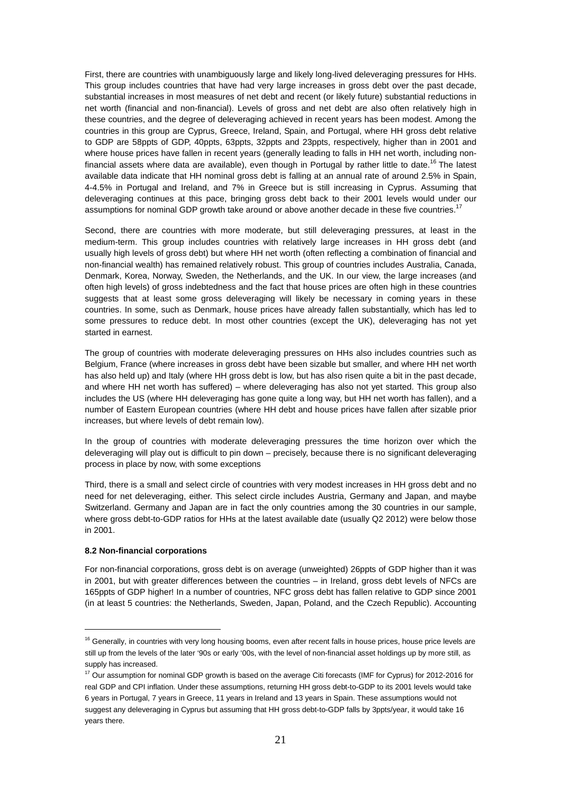First, there are countries with unambiguously large and likely long-lived deleveraging pressures for HHs. This group includes countries that have had very large increases in gross debt over the past decade, substantial increases in most measures of net debt and recent (or likely future) substantial reductions in net worth (financial and non-financial). Levels of gross and net debt are also often relatively high in these countries, and the degree of deleveraging achieved in recent years has been modest. Among the countries in this group are Cyprus, Greece, Ireland, Spain, and Portugal, where HH gross debt relative to GDP are 58ppts of GDP, 40ppts, 63ppts, 32ppts and 23ppts, respectively, higher than in 2001 and where house prices have fallen in recent years (generally leading to falls in HH net worth, including nonfinancial assets where data are available), even though in Portugal by rather little to date.<sup>16</sup> The latest available data indicate that HH nominal gross debt is falling at an annual rate of around 2.5% in Spain, 4-4.5% in Portugal and Ireland, and 7% in Greece but is still increasing in Cyprus. Assuming that deleveraging continues at this pace, bringing gross debt back to their 2001 levels would under our assumptions for nominal GDP growth take around or above another decade in these five countries.<sup>1</sup>

Second, there are countries with more moderate, but still deleveraging pressures, at least in the medium-term. This group includes countries with relatively large increases in HH gross debt (and usually high levels of gross debt) but where HH net worth (often reflecting a combination of financial and non-financial wealth) has remained relatively robust. This group of countries includes Australia, Canada, Denmark, Korea, Norway, Sweden, the Netherlands, and the UK. In our view, the large increases (and often high levels) of gross indebtedness and the fact that house prices are often high in these countries suggests that at least some gross deleveraging will likely be necessary in coming years in these countries. In some, such as Denmark, house prices have already fallen substantially, which has led to some pressures to reduce debt. In most other countries (except the UK), deleveraging has not yet started in earnest.

The group of countries with moderate deleveraging pressures on HHs also includes countries such as Belgium, France (where increases in gross debt have been sizable but smaller, and where HH net worth has also held up) and Italy (where HH gross debt is low, but has also risen quite a bit in the past decade, and where HH net worth has suffered) – where deleveraging has also not yet started. This group also includes the US (where HH deleveraging has gone quite a long way, but HH net worth has fallen), and a number of Eastern European countries (where HH debt and house prices have fallen after sizable prior increases, but where levels of debt remain low).

In the group of countries with moderate deleveraging pressures the time horizon over which the deleveraging will play out is difficult to pin down – precisely, because there is no significant deleveraging process in place by now, with some exceptions

Third, there is a small and select circle of countries with very modest increases in HH gross debt and no need for net deleveraging, either. This select circle includes Austria, Germany and Japan, and maybe Switzerland. Germany and Japan are in fact the only countries among the 30 countries in our sample, where gross debt-to-GDP ratios for HHs at the latest available date (usually Q2 2012) were below those in 2001.

#### **8.2 Non-financial corporations**

 $\overline{a}$ 

For non-financial corporations, gross debt is on average (unweighted) 26ppts of GDP higher than it was in 2001, but with greater differences between the countries – in Ireland, gross debt levels of NFCs are 165ppts of GDP higher! In a number of countries, NFC gross debt has fallen relative to GDP since 2001 (in at least 5 countries: the Netherlands, Sweden, Japan, Poland, and the Czech Republic). Accounting

<sup>&</sup>lt;sup>16</sup> Generally, in countries with very long housing booms, even after recent falls in house prices, house price levels are still up from the levels of the later '90s or early '00s, with the level of non-financial asset holdings up by more still, as supply has increased.

<sup>&</sup>lt;sup>17</sup> Our assumption for nominal GDP growth is based on the average Citi forecasts (IMF for Cyprus) for 2012-2016 for real GDP and CPI inflation. Under these assumptions, returning HH gross debt-to-GDP to its 2001 levels would take 6 years in Portugal, 7 years in Greece, 11 years in Ireland and 13 years in Spain. These assumptions would not suggest any deleveraging in Cyprus but assuming that HH gross debt-to-GDP falls by 3ppts/year, it would take 16 years there.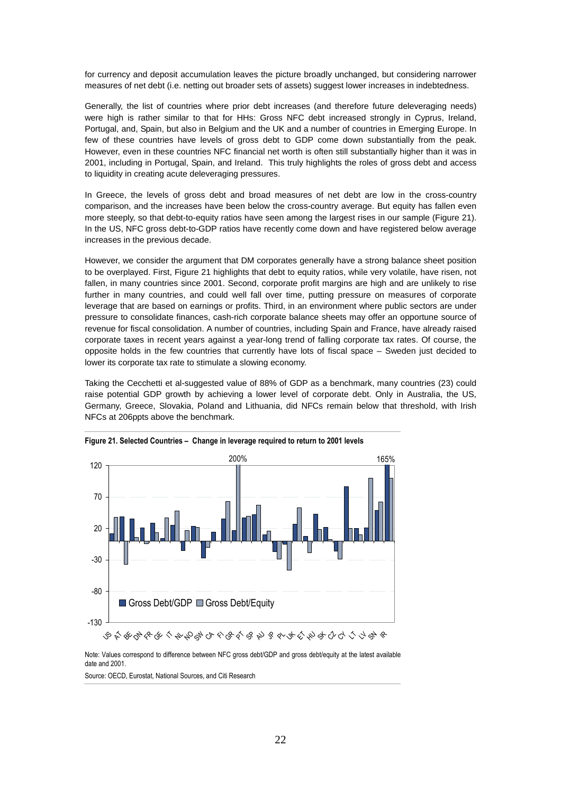for currency and deposit accumulation leaves the picture broadly unchanged, but considering narrower measures of net debt (i.e. netting out broader sets of assets) suggest lower increases in indebtedness.

Generally, the list of countries where prior debt increases (and therefore future deleveraging needs) were high is rather similar to that for HHs: Gross NFC debt increased strongly in Cyprus, Ireland, Portugal, and, Spain, but also in Belgium and the UK and a number of countries in Emerging Europe. In few of these countries have levels of gross debt to GDP come down substantially from the peak. However, even in these countries NFC financial net worth is often still substantially higher than it was in 2001, including in Portugal, Spain, and Ireland. This truly highlights the roles of gross debt and access to liquidity in creating acute deleveraging pressures.

In Greece, the levels of gross debt and broad measures of net debt are low in the cross-country comparison, and the increases have been below the cross-country average. But equity has fallen even more steeply, so that debt-to-equity ratios have seen among the largest rises in our sample (Figure 21). In the US, NFC gross debt-to-GDP ratios have recently come down and have registered below average increases in the previous decade.

However, we consider the argument that DM corporates generally have a strong balance sheet position to be overplayed. First, Figure 21 highlights that debt to equity ratios, while very volatile, have risen, not fallen, in many countries since 2001. Second, corporate profit margins are high and are unlikely to rise further in many countries, and could well fall over time, putting pressure on measures of corporate leverage that are based on earnings or profits. Third, in an environment where public sectors are under pressure to consolidate finances, cash-rich corporate balance sheets may offer an opportune source of revenue for fiscal consolidation. A number of countries, including Spain and France, have already raised corporate taxes in recent years against a year-long trend of falling corporate tax rates. Of course, the opposite holds in the few countries that currently have lots of fiscal space – Sweden just decided to lower its corporate tax rate to stimulate a slowing economy.

Taking the Cecchetti et al-suggested value of 88% of GDP as a benchmark, many countries (23) could raise potential GDP growth by achieving a lower level of corporate debt. Only in Australia, the US, Germany, Greece, Slovakia, Poland and Lithuania, did NFCs remain below that threshold, with Irish NFCs at 206ppts above the benchmark.



**Figure 21. Selected Countries – Change in leverage required to return to 2001 levels** 

Note: Values correspond to difference between NFC gross debt/GDP and gross debt/equity at the latest available date and 2001.

Source: OECD, Eurostat, National Sources, and Citi Research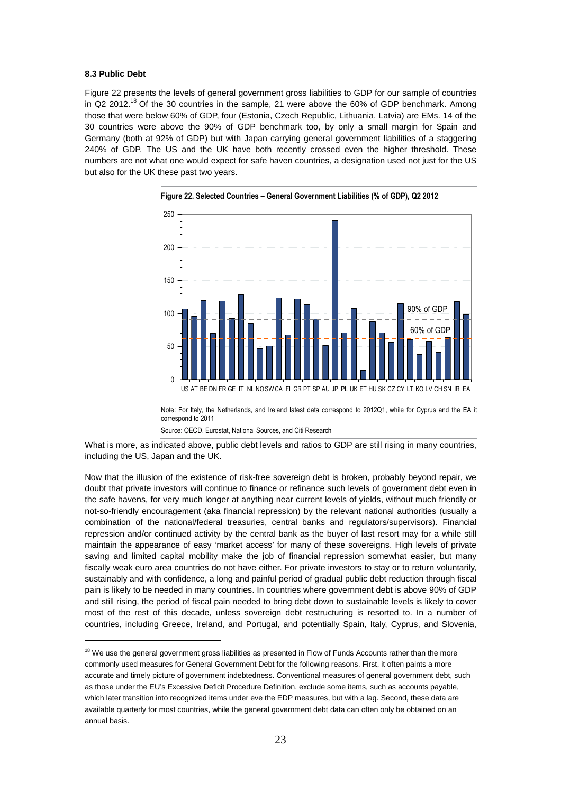#### **8.3 Public Debt**

 $\overline{a}$ 

Figure 22 presents the levels of general government gross liabilities to GDP for our sample of countries in Q2 2012.<sup>18</sup> Of the 30 countries in the sample, 21 were above the 60% of GDP benchmark. Among those that were below 60% of GDP, four (Estonia, Czech Republic, Lithuania, Latvia) are EMs. 14 of the 30 countries were above the 90% of GDP benchmark too, by only a small margin for Spain and Germany (both at 92% of GDP) but with Japan carrying general government liabilities of a staggering 240% of GDP. The US and the UK have both recently crossed even the higher threshold. These numbers are not what one would expect for safe haven countries, a designation used not just for the US but also for the UK these past two years.



**Figure 22. Selected Countries – General Government Liabilities (% of GDP), Q2 2012** 

Note: For Italy, the Netherlands, and Ireland latest data correspond to 2012Q1, while for Cyprus and the EA it correspond to 2011

Source: OECD, Eurostat, National Sources, and Citi Research

What is more, as indicated above, public debt levels and ratios to GDP are still rising in many countries, including the US, Japan and the UK.

Now that the illusion of the existence of risk-free sovereign debt is broken, probably beyond repair, we doubt that private investors will continue to finance or refinance such levels of government debt even in the safe havens, for very much longer at anything near current levels of yields, without much friendly or not-so-friendly encouragement (aka financial repression) by the relevant national authorities (usually a combination of the national/federal treasuries, central banks and regulators/supervisors). Financial repression and/or continued activity by the central bank as the buyer of last resort may for a while still maintain the appearance of easy 'market access' for many of these sovereigns. High levels of private saving and limited capital mobility make the job of financial repression somewhat easier, but many fiscally weak euro area countries do not have either. For private investors to stay or to return voluntarily, sustainably and with confidence, a long and painful period of gradual public debt reduction through fiscal pain is likely to be needed in many countries. In countries where government debt is above 90% of GDP and still rising, the period of fiscal pain needed to bring debt down to sustainable levels is likely to cover most of the rest of this decade, unless sovereign debt restructuring is resorted to. In a number of countries, including Greece, Ireland, and Portugal, and potentially Spain, Italy, Cyprus, and Slovenia,

 $18$  We use the general government gross liabilities as presented in Flow of Funds Accounts rather than the more commonly used measures for General Government Debt for the following reasons. First, it often paints a more accurate and timely picture of government indebtedness. Conventional measures of general government debt, such as those under the EU's Excessive Deficit Procedure Definition, exclude some items, such as accounts payable, which later transition into recognized items under eve the EDP measures, but with a lag. Second, these data are available quarterly for most countries, while the general government debt data can often only be obtained on an annual basis.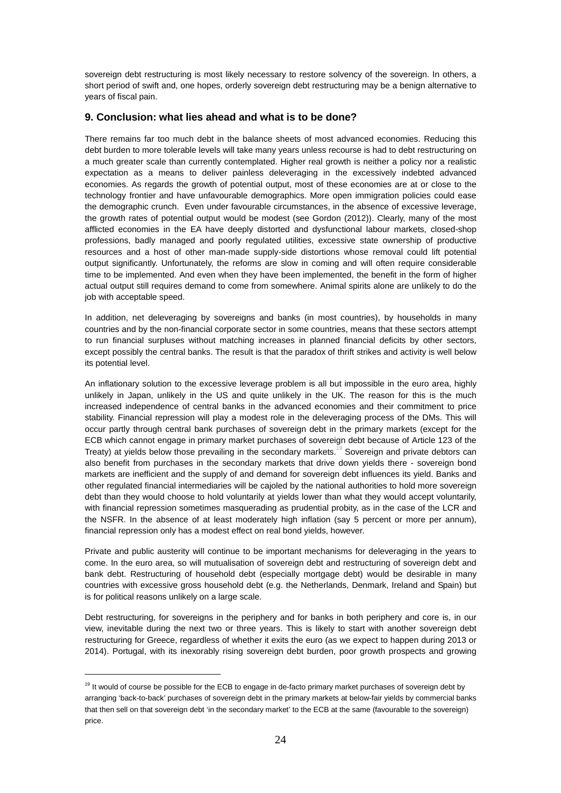sovereign debt restructuring is most likely necessary to restore solvency of the sovereign. In others, a short period of swift and, one hopes, orderly sovereign debt restructuring may be a benign alternative to years of fiscal pain.

# **9. Conclusion: what lies ahead and what is to be done?**

There remains far too much debt in the balance sheets of most advanced economies. Reducing this debt burden to more tolerable levels will take many years unless recourse is had to debt restructuring on a much greater scale than currently contemplated. Higher real growth is neither a policy nor a realistic expectation as a means to deliver painless deleveraging in the excessively indebted advanced economies. As regards the growth of potential output, most of these economies are at or close to the technology frontier and have unfavourable demographics. More open immigration policies could ease the demographic crunch. Even under favourable circumstances, in the absence of excessive leverage, the growth rates of potential output would be modest (see Gordon (2012)). Clearly, many of the most afflicted economies in the EA have deeply distorted and dysfunctional labour markets, closed-shop professions, badly managed and poorly regulated utilities, excessive state ownership of productive resources and a host of other man-made supply-side distortions whose removal could lift potential output significantly. Unfortunately, the reforms are slow in coming and will often require considerable time to be implemented. And even when they have been implemented, the benefit in the form of higher actual output still requires demand to come from somewhere. Animal spirits alone are unlikely to do the job with acceptable speed.

In addition, net deleveraging by sovereigns and banks (in most countries), by households in many countries and by the non-financial corporate sector in some countries, means that these sectors attempt to run financial surpluses without matching increases in planned financial deficits by other sectors, except possibly the central banks. The result is that the paradox of thrift strikes and activity is well below its potential level.

An inflationary solution to the excessive leverage problem is all but impossible in the euro area, highly unlikely in Japan, unlikely in the US and quite unlikely in the UK. The reason for this is the much increased independence of central banks in the advanced economies and their commitment to price stability. Financial repression will play a modest role in the deleveraging process of the DMs. This will occur partly through central bank purchases of sovereign debt in the primary markets (except for the ECB which cannot engage in primary market purchases of sovereign debt because of Article 123 of the Treaty) at yields below those prevailing in the secondary markets.<sup>19</sup> Sovereign and private debtors can also benefit from purchases in the secondary markets that drive down yields there - sovereign bond markets are inefficient and the supply of and demand for sovereign debt influences its yield. Banks and other regulated financial intermediaries will be cajoled by the national authorities to hold more sovereign debt than they would choose to hold voluntarily at yields lower than what they would accept voluntarily, with financial repression sometimes masquerading as prudential probity, as in the case of the LCR and the NSFR. In the absence of at least moderately high inflation (say 5 percent or more per annum), financial repression only has a modest effect on real bond yields, however.

Private and public austerity will continue to be important mechanisms for deleveraging in the years to come. In the euro area, so will mutualisation of sovereign debt and restructuring of sovereign debt and bank debt. Restructuring of household debt (especially mortgage debt) would be desirable in many countries with excessive gross household debt (e.g. the Netherlands, Denmark, Ireland and Spain) but is for political reasons unlikely on a large scale.

Debt restructuring, for sovereigns in the periphery and for banks in both periphery and core is, in our view, inevitable during the next two or three years. This is likely to start with another sovereign debt restructuring for Greece, regardless of whether it exits the euro (as we expect to happen during 2013 or 2014). Portugal, with its inexorably rising sovereign debt burden, poor growth prospects and growing

 $\overline{a}$ 

<sup>&</sup>lt;sup>19</sup> It would of course be possible for the ECB to engage in de-facto primary market purchases of sovereign debt by arranging 'back-to-back' purchases of sovereign debt in the primary markets at below-fair yields by commercial banks that then sell on that sovereign debt 'in the secondary market' to the ECB at the same (favourable to the sovereign) price.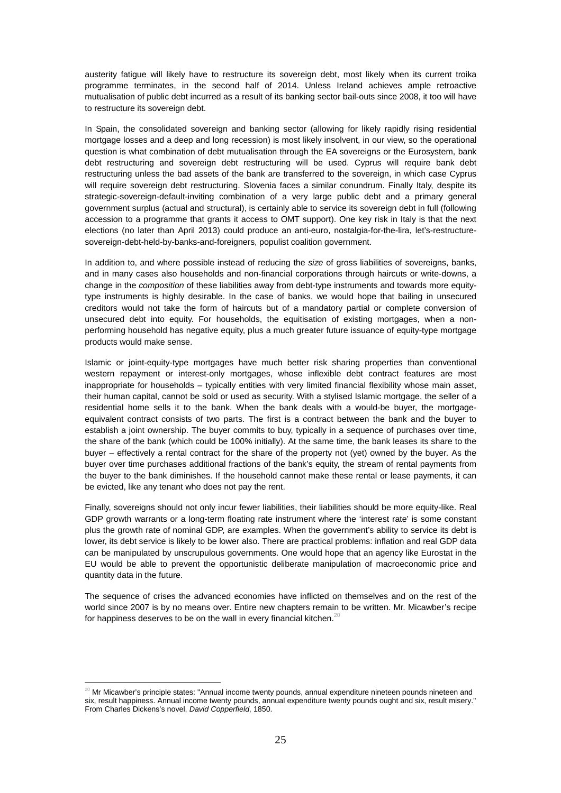austerity fatigue will likely have to restructure its sovereign debt, most likely when its current troika programme terminates, in the second half of 2014. Unless Ireland achieves ample retroactive mutualisation of public debt incurred as a result of its banking sector bail-outs since 2008, it too will have to restructure its sovereign debt.

In Spain, the consolidated sovereign and banking sector (allowing for likely rapidly rising residential mortgage losses and a deep and long recession) is most likely insolvent, in our view, so the operational question is what combination of debt mutualisation through the EA sovereigns or the Eurosystem, bank debt restructuring and sovereign debt restructuring will be used. Cyprus will require bank debt restructuring unless the bad assets of the bank are transferred to the sovereign, in which case Cyprus will require sovereign debt restructuring. Slovenia faces a similar conundrum. Finally Italy, despite its strategic-sovereign-default-inviting combination of a very large public debt and a primary general government surplus (actual and structural), is certainly able to service its sovereign debt in full (following accession to a programme that grants it access to OMT support). One key risk in Italy is that the next elections (no later than April 2013) could produce an anti-euro, nostalgia-for-the-lira, let's-restructuresovereign-debt-held-by-banks-and-foreigners, populist coalition government.

In addition to, and where possible instead of reducing the size of gross liabilities of sovereigns, banks, and in many cases also households and non-financial corporations through haircuts or write-downs, a change in the composition of these liabilities away from debt-type instruments and towards more equitytype instruments is highly desirable. In the case of banks, we would hope that bailing in unsecured creditors would not take the form of haircuts but of a mandatory partial or complete conversion of unsecured debt into equity. For households, the equitisation of existing mortgages, when a nonperforming household has negative equity, plus a much greater future issuance of equity-type mortgage products would make sense.

Islamic or joint-equity-type mortgages have much better risk sharing properties than conventional western repayment or interest-only mortgages, whose inflexible debt contract features are most inappropriate for households – typically entities with very limited financial flexibility whose main asset, their human capital, cannot be sold or used as security. With a stylised Islamic mortgage, the seller of a residential home sells it to the bank. When the bank deals with a would-be buyer, the mortgageequivalent contract consists of two parts. The first is a contract between the bank and the buyer to establish a joint ownership. The buyer commits to buy, typically in a sequence of purchases over time, the share of the bank (which could be 100% initially). At the same time, the bank leases its share to the buyer – effectively a rental contract for the share of the property not (yet) owned by the buyer. As the buyer over time purchases additional fractions of the bank's equity, the stream of rental payments from the buyer to the bank diminishes. If the household cannot make these rental or lease payments, it can be evicted, like any tenant who does not pay the rent.

Finally, sovereigns should not only incur fewer liabilities, their liabilities should be more equity-like. Real GDP growth warrants or a long-term floating rate instrument where the 'interest rate' is some constant plus the growth rate of nominal GDP, are examples. When the government's ability to service its debt is lower, its debt service is likely to be lower also. There are practical problems: inflation and real GDP data can be manipulated by unscrupulous governments. One would hope that an agency like Eurostat in the EU would be able to prevent the opportunistic deliberate manipulation of macroeconomic price and quantity data in the future.

The sequence of crises the advanced economies have inflicted on themselves and on the rest of the world since 2007 is by no means over. Entire new chapters remain to be written. Mr. Micawber's recipe for happiness deserves to be on the wall in every financial kitchen.<sup>20</sup>

 $\overline{a}$ 

 $20$  Mr Micawber's principle states: "Annual income twenty pounds, annual expenditure nineteen pounds nineteen and six, result happiness. Annual income twenty pounds, annual expenditure twenty pounds ought and six, result misery." From Charles Dickens's novel, David Copperfield, 1850.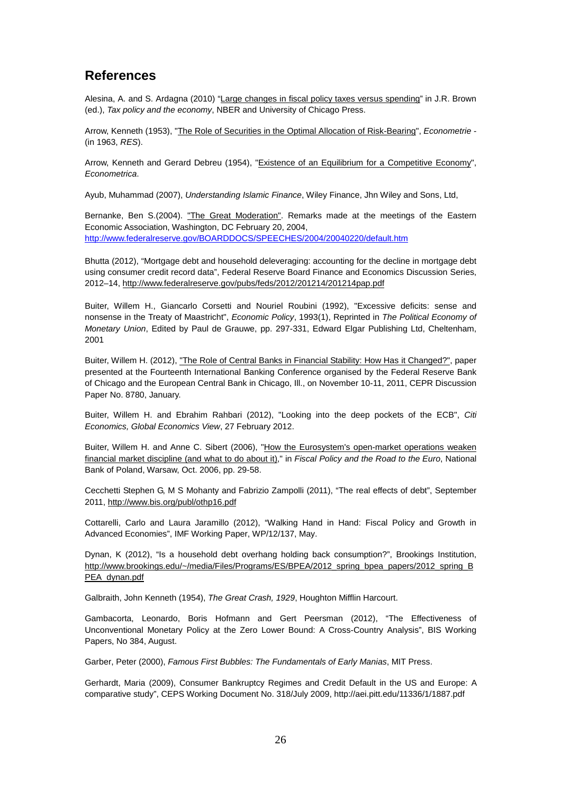# **References**

Alesina, A. and S. Ardagna (2010) "Large changes in fiscal policy taxes versus spending" in J.R. Brown (ed.), Tax policy and the economy, NBER and University of Chicago Press.

Arrow, Kenneth (1953), "The Role of Securities in the Optimal Allocation of Risk-Bearing", Econometrie -(in 1963, RES).

Arrow, Kenneth and Gerard Debreu (1954), "Existence of an Equilibrium for a Competitive Economy", Econometrica.

Ayub, Muhammad (2007), Understanding Islamic Finance, Wiley Finance, Jhn Wiley and Sons, Ltd,

Bernanke, Ben S.(2004). "The Great Moderation". Remarks made at the meetings of the Eastern Economic Association, Washington, DC February 20, 2004, http://www.federalreserve.gov/BOARDDOCS/SPEECHES/2004/20040220/default.htm

Bhutta (2012), "Mortgage debt and household deleveraging: accounting for the decline in mortgage debt using consumer credit record data", Federal Reserve Board Finance and Economics Discussion Series, 2012–14, http://www.federalreserve.gov/pubs/feds/2012/201214/201214pap.pdf

Buiter, Willem H., Giancarlo Corsetti and Nouriel Roubini (1992), "Excessive deficits: sense and nonsense in the Treaty of Maastricht", Economic Policy, 1993(1), Reprinted in The Political Economy of Monetary Union, Edited by Paul de Grauwe, pp. 297-331, Edward Elgar Publishing Ltd, Cheltenham, 2001

Buiter, Willem H. (2012), "The Role of Central Banks in Financial Stability: How Has it Changed?", paper presented at the Fourteenth International Banking Conference organised by the Federal Reserve Bank of Chicago and the European Central Bank in Chicago, Ill., on November 10-11, 2011, CEPR Discussion Paper No. 8780, January.

Buiter, Willem H. and Ebrahim Rahbari (2012), "Looking into the deep pockets of the ECB", Citi Economics, Global Economics View, 27 February 2012.

Buiter, Willem H. and Anne C. Sibert (2006), "How the Eurosystem's open-market operations weaken financial market discipline (and what to do about it)," in Fiscal Policy and the Road to the Euro, National Bank of Poland, Warsaw, Oct. 2006, pp. 29-58.

Cecchetti Stephen G, M S Mohanty and Fabrizio Zampolli (2011), "The real effects of debt", September 2011, http://www.bis.org/publ/othp16.pdf

Cottarelli, Carlo and Laura Jaramillo (2012), "Walking Hand in Hand: Fiscal Policy and Growth in Advanced Economies", IMF Working Paper, WP/12/137, May.

Dynan, K (2012), "Is a household debt overhang holding back consumption?", Brookings Institution, http://www.brookings.edu/~/media/Files/Programs/ES/BPEA/2012\_spring\_bpea\_papers/2012\_spring\_B PEA\_dynan.pdf

Galbraith, John Kenneth (1954), The Great Crash, 1929, Houghton Mifflin Harcourt.

Gambacorta, Leonardo, Boris Hofmann and Gert Peersman (2012), "The Effectiveness of Unconventional Monetary Policy at the Zero Lower Bound: A Cross-Country Analysis", BIS Working Papers, No 384, August.

Garber, Peter (2000), Famous First Bubbles: The Fundamentals of Early Manias, MIT Press.

Gerhardt, Maria (2009), Consumer Bankruptcy Regimes and Credit Default in the US and Europe: A comparative study", CEPS Working Document No. 318/July 2009, http://aei.pitt.edu/11336/1/1887.pdf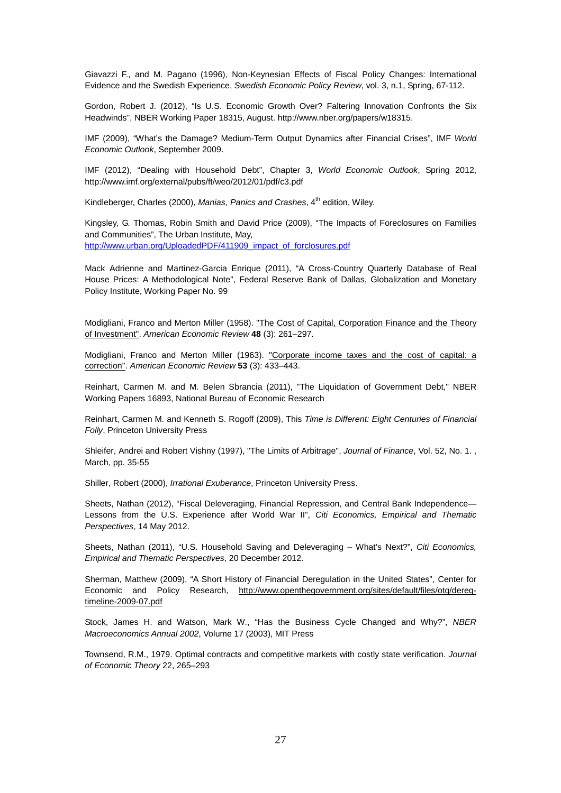Giavazzi F., and M. Pagano (1996), Non-Keynesian Effects of Fiscal Policy Changes: International Evidence and the Swedish Experience, Swedish Economic Policy Review, vol. 3, n.1, Spring, 67-112.

Gordon, Robert J. (2012), "Is U.S. Economic Growth Over? Faltering Innovation Confronts the Six Headwinds", NBER Working Paper 18315, August. http://www.nber.org/papers/w18315.

IMF (2009), "What's the Damage? Medium-Term Output Dynamics after Financial Crises", IMF World Economic Outlook, September 2009.

IMF (2012), "Dealing with Household Debt", Chapter 3, World Economic Outlook, Spring 2012, http://www.imf.org/external/pubs/ft/weo/2012/01/pdf/c3.pdf

Kindleberger, Charles (2000), Manias, Panics and Crashes,  $4<sup>th</sup>$  edition, Wiley.

Kingsley, G. Thomas, Robin Smith and David Price (2009), "The Impacts of Foreclosures on Families and Communities", The Urban Institute, May, http://www.urban.org/UploadedPDF/411909\_impact\_of\_forclosures.pdf

Mack Adrienne and Martinez-Garcia Enrique (2011), "A Cross-Country Quarterly Database of Real House Prices: A Methodological Note", Federal Reserve Bank of Dallas, Globalization and Monetary Policy Institute, Working Paper No. 99

Modigliani, Franco and Merton Miller (1958). "The Cost of Capital, Corporation Finance and the Theory of Investment". American Economic Review **48** (3): 261–297.

Modigliani, Franco and Merton Miller (1963). "Corporate income taxes and the cost of capital: a correction". American Economic Review **53** (3): 433–443.

Reinhart, Carmen M. and M. Belen Sbrancia (2011), "The Liquidation of Government Debt," NBER Working Papers 16893, National Bureau of Economic Research

Reinhart, Carmen M. and Kenneth S. Rogoff (2009), This Time is Different: Eight Centuries of Financial Folly, Princeton University Press

Shleifer, Andrei and Robert Vishny (1997), "The Limits of Arbitrage", Journal of Finance, Vol. 52, No. 1., March, pp. 35-55

Shiller, Robert (2000), Irrational Exuberance, Princeton University Press.

Sheets, Nathan (2012), "Fiscal Deleveraging, Financial Repression, and Central Bank Independence— Lessons from the U.S. Experience after World War II", Citi Economics, Empirical and Thematic Perspectives, 14 May 2012.

Sheets, Nathan (2011), "U.S. Household Saving and Deleveraging – What's Next?", Citi Economics, Empirical and Thematic Perspectives, 20 December 2012.

Sherman, Matthew (2009), "A Short History of Financial Deregulation in the United States", Center for Economic and Policy Research, http://www.openthegovernment.org/sites/default/files/otg/deregtimeline-2009-07.pdf

Stock, James H. and Watson, Mark W., "Has the Business Cycle Changed and Why?", NBER Macroeconomics Annual 2002, Volume 17 (2003), MIT Press

Townsend, R.M., 1979. Optimal contracts and competitive markets with costly state verification. Journal of Economic Theory 22, 265–293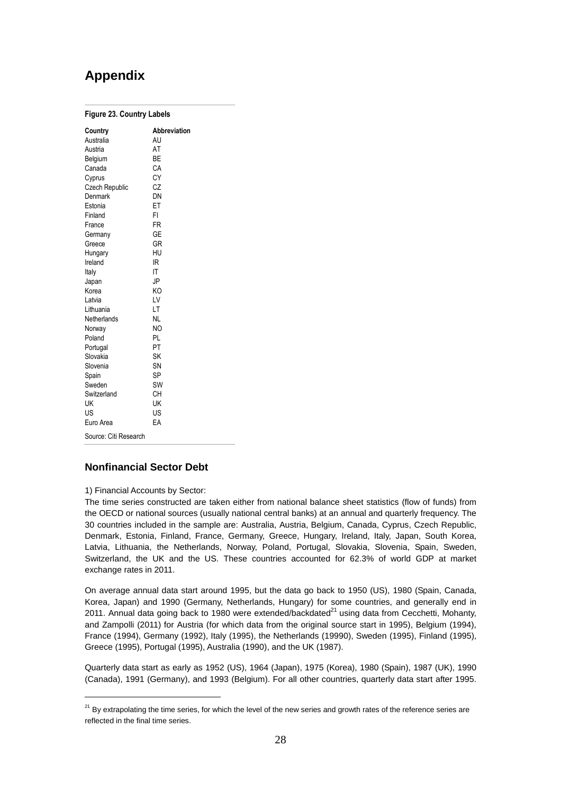# **Appendix**

| <b>Figure 23. Country Labels</b> |                           |  |  |  |  |  |  |
|----------------------------------|---------------------------|--|--|--|--|--|--|
| Country<br>Australia             | <b>Abbreviation</b><br>AU |  |  |  |  |  |  |
| Austria                          | AT                        |  |  |  |  |  |  |
| Belgium                          | BE                        |  |  |  |  |  |  |
| Canada                           | CA                        |  |  |  |  |  |  |
| Cyprus                           | CY                        |  |  |  |  |  |  |
| <b>Czech Republic</b>            | CZ                        |  |  |  |  |  |  |
| Denmark                          | DN                        |  |  |  |  |  |  |
| Estonia                          | ET                        |  |  |  |  |  |  |
| Finland                          | FI                        |  |  |  |  |  |  |
| France                           | FR                        |  |  |  |  |  |  |
| Germany                          | GE                        |  |  |  |  |  |  |
| Greece                           | GR                        |  |  |  |  |  |  |
| Hungary                          | HU                        |  |  |  |  |  |  |
| Ireland                          | IR                        |  |  |  |  |  |  |
| Italy                            | IT                        |  |  |  |  |  |  |
| Japan                            | JP                        |  |  |  |  |  |  |
| Korea                            | KO                        |  |  |  |  |  |  |
| Latvia                           | LV                        |  |  |  |  |  |  |
| Lithuania                        | LT                        |  |  |  |  |  |  |
| Netherlands                      | NL                        |  |  |  |  |  |  |
| Norway                           | NO                        |  |  |  |  |  |  |
| Poland                           | PL                        |  |  |  |  |  |  |
| Portugal                         | PT                        |  |  |  |  |  |  |
| Slovakia                         | SK                        |  |  |  |  |  |  |
| Slovenia                         | SN                        |  |  |  |  |  |  |
| Spain                            | SP                        |  |  |  |  |  |  |
| Sweden                           | SW                        |  |  |  |  |  |  |
| Switzerland                      | CН                        |  |  |  |  |  |  |
| UK                               | UK                        |  |  |  |  |  |  |
| US                               | US                        |  |  |  |  |  |  |
| Euro Area                        | EA                        |  |  |  |  |  |  |
| Source: Citi Research            |                           |  |  |  |  |  |  |

# **Nonfinancial Sector Debt**

1) Financial Accounts by Sector:

 $\overline{a}$ 

The time series constructed are taken either from national balance sheet statistics (flow of funds) from the OECD or national sources (usually national central banks) at an annual and quarterly frequency. The 30 countries included in the sample are: Australia, Austria, Belgium, Canada, Cyprus, Czech Republic, Denmark, Estonia, Finland, France, Germany, Greece, Hungary, Ireland, Italy, Japan, South Korea, Latvia, Lithuania, the Netherlands, Norway, Poland, Portugal, Slovakia, Slovenia, Spain, Sweden, Switzerland, the UK and the US. These countries accounted for 62.3% of world GDP at market exchange rates in 2011.

On average annual data start around 1995, but the data go back to 1950 (US), 1980 (Spain, Canada, Korea, Japan) and 1990 (Germany, Netherlands, Hungary) for some countries, and generally end in 2011. Annual data going back to 1980 were extended/backdated $^{21}$  using data from Cecchetti, Mohanty, and Zampolli (2011) for Austria (for which data from the original source start in 1995), Belgium (1994), France (1994), Germany (1992), Italy (1995), the Netherlands (19990), Sweden (1995), Finland (1995), Greece (1995), Portugal (1995), Australia (1990), and the UK (1987).

Quarterly data start as early as 1952 (US), 1964 (Japan), 1975 (Korea), 1980 (Spain), 1987 (UK), 1990 (Canada), 1991 (Germany), and 1993 (Belgium). For all other countries, quarterly data start after 1995.

 $21$  By extrapolating the time series, for which the level of the new series and growth rates of the reference series are reflected in the final time series.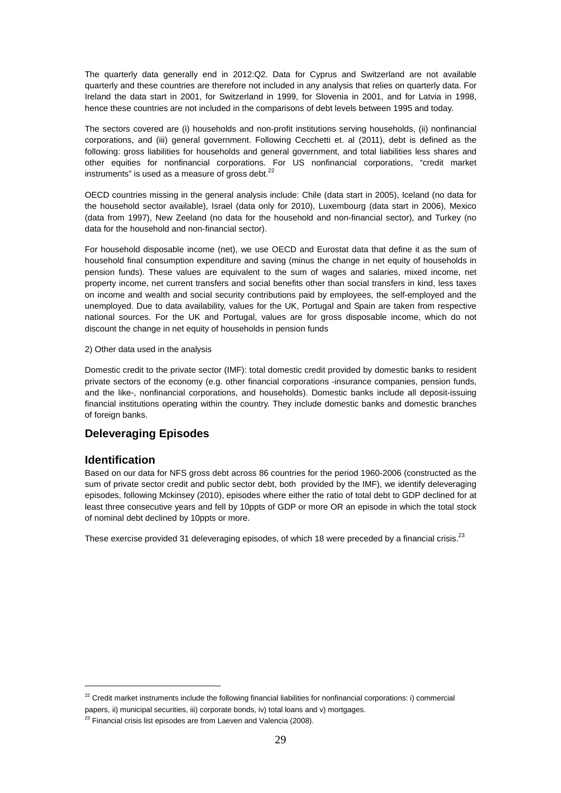The quarterly data generally end in 2012:Q2. Data for Cyprus and Switzerland are not available quarterly and these countries are therefore not included in any analysis that relies on quarterly data. For Ireland the data start in 2001, for Switzerland in 1999, for Slovenia in 2001, and for Latvia in 1998, hence these countries are not included in the comparisons of debt levels between 1995 and today.

The sectors covered are (i) households and non-profit institutions serving households, (ii) nonfinancial corporations, and (iii) general government. Following Cecchetti et. al (2011), debt is defined as the following: gross liabilities for households and general government, and total liabilities less shares and other equities for nonfinancial corporations. For US nonfinancial corporations, "credit market instruments" is used as a measure of gross debt. $^{22}$ 

OECD countries missing in the general analysis include: Chile (data start in 2005), Iceland (no data for the household sector available), Israel (data only for 2010), Luxembourg (data start in 2006), Mexico (data from 1997), New Zeeland (no data for the household and non-financial sector), and Turkey (no data for the household and non-financial sector).

For household disposable income (net), we use OECD and Eurostat data that define it as the sum of household final consumption expenditure and saving (minus the change in net equity of households in pension funds). These values are equivalent to the sum of wages and salaries, mixed income, net property income, net current transfers and social benefits other than social transfers in kind, less taxes on income and wealth and social security contributions paid by employees, the self-employed and the unemployed. Due to data availability, values for the UK, Portugal and Spain are taken from respective national sources. For the UK and Portugal, values are for gross disposable income, which do not discount the change in net equity of households in pension funds

#### 2) Other data used in the analysis

Domestic credit to the private sector (IMF): total domestic credit provided by domestic banks to resident private sectors of the economy (e.g. other financial corporations -insurance companies, pension funds, and the like-, nonfinancial corporations, and households). Domestic banks include all deposit-issuing financial institutions operating within the country. They include domestic banks and domestic branches of foreign banks.

# **Deleveraging Episodes**

# **Identification**

 $\overline{a}$ 

Based on our data for NFS gross debt across 86 countries for the period 1960-2006 (constructed as the sum of private sector credit and public sector debt, both provided by the IMF), we identify deleveraging episodes, following Mckinsey (2010), episodes where either the ratio of total debt to GDP declined for at least three consecutive years and fell by 10ppts of GDP or more OR an episode in which the total stock of nominal debt declined by 10ppts or more.

These exercise provided 31 deleveraging episodes, of which 18 were preceded by a financial crisis.<sup>23</sup>

 $22$  Credit market instruments include the following financial liabilities for nonfinancial corporations: i) commercial papers, ii) municipal securities, iii) corporate bonds, iv) total loans and v) mortgages.

 $23$  Financial crisis list episodes are from Laeven and Valencia (2008).